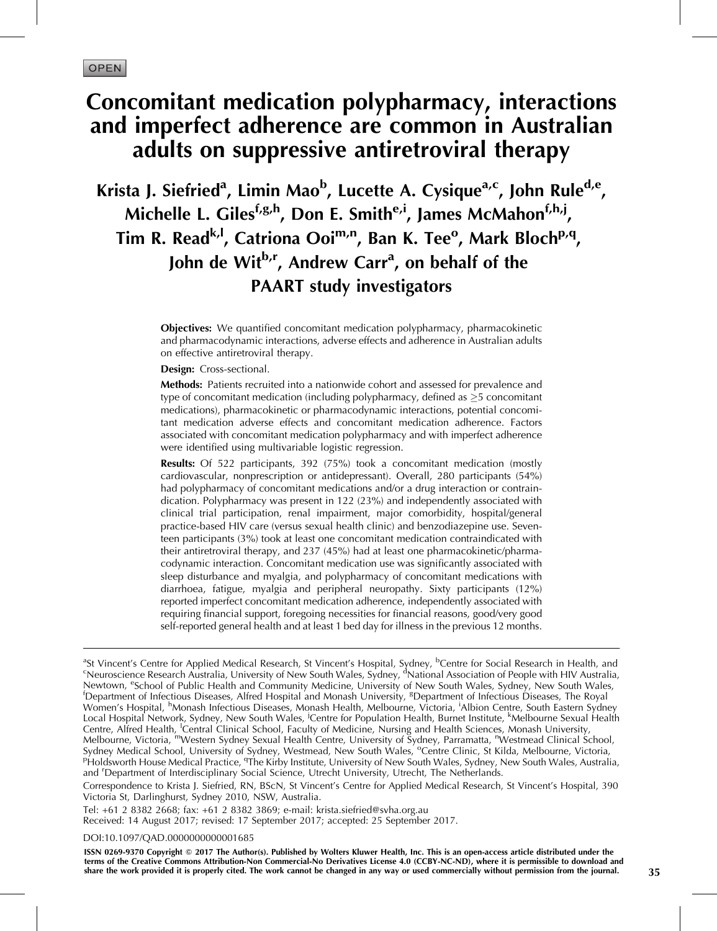# Concomitant medication polypharmacy, interactions and imperfect adherence are common in Australian adults on suppressive antiretroviral therapy

Krista J. Siefried<sup>a</sup>, Limin Mao<sup>b</sup>, Lucette A. Cysique<sup>a,c</sup>, John Rule<sup>d,e</sup>, Michelle L. Giles<sup>f,g,h</sup>, Don E. Smith<sup>e,i</sup>, James McMahon<sup>f,h,j</sup>, Tim R. Read<sup>k, I</sup>, Catriona Ooi<sup>m,n</sup>, Ban K. Tee<sup>o</sup>, Mark Bloch<sup>p,q</sup>, John de Wit<sup>b,r</sup>, Andrew Carr<sup>a</sup>, on behalf of the PAART study investigators

> **Objectives:** We quantified concomitant medication polypharmacy, pharmacokinetic and pharmacodynamic interactions, adverse effects and adherence in Australian adults on effective antiretroviral therapy.

Design: Cross-sectional.

Methods: Patients recruited into a nationwide cohort and assessed for prevalence and type of concomitant medication (including polypharmacy, defined as  $\geq$ 5 concomitant medications), pharmacokinetic or pharmacodynamic interactions, potential concomitant medication adverse effects and concomitant medication adherence. Factors associated with concomitant medication polypharmacy and with imperfect adherence were identified using multivariable logistic regression.

Results: Of 522 participants, 392 (75%) took a concomitant medication (mostly cardiovascular, nonprescription or antidepressant). Overall, 280 participants (54%) had polypharmacy of concomitant medications and/or a drug interaction or contraindication. Polypharmacy was present in 122 (23%) and independently associated with clinical trial participation, renal impairment, major comorbidity, hospital/general practice-based HIV care (versus sexual health clinic) and benzodiazepine use. Seventeen participants (3%) took at least one concomitant medication contraindicated with their antiretroviral therapy, and 237 (45%) had at least one pharmacokinetic/pharmacodynamic interaction. Concomitant medication use was significantly associated with sleep disturbance and myalgia, and polypharmacy of concomitant medications with diarrhoea, fatigue, myalgia and peripheral neuropathy. Sixty participants (12%) reported imperfect concomitant medication adherence, independently associated with requiring financial support, foregoing necessities for financial reasons, good/very good self-reported general health and at least 1 bed day for illness in the previous 12 months.

<sup>a</sup>St Vincent's Centre for Applied Medical Research, St Vincent's Hospital, Sydney, <sup>b</sup>Centre for Social Research in Health, and<br><sup>c</sup>Neuroscience Research Australia, University of New South Wales, Sydney, <sup>d</sup>National Associ Newtown, <sup>e</sup>School of Public Health and Community Medicine, University of New South Wales, Sydney, New South Wales, for the Revel of the South Wales, in the Revel of the Community of the Boyal of the Community of the Commu Department of Infectious Diseases, Alfred Hospital and Monash University, <sup>8</sup>Department of Infectious Diseases, The Royal Women's Hospital, <sup>h</sup>Monash Infectious Diseases, Monash Health, Melbourne, Victoria, <sup>i</sup>Albion Centre, South Eastern Sydney Local Hospital Network, Sydney, New South Wales, <sup>j</sup>Centre for Population Health, Burnet Institute, <sup>k</sup>Melbourne Sexual Health Centre, Alfred Health, <sup>I</sup>Central Clinical School, Faculty of Medicine, Nursing and Health Sciences, Monash University, Melbourne, Victoria, <sup>m</sup>Western Sydney Sexual Health Centre, University of Sydney, Parramatta, <sup>n</sup>Westmead Clinical School, Sydney Medical School, University of Sydney, Westmead, New South Wales, <sup>o</sup>Centre Clinic, St Kilda, Melbourne, Victoria,<br>PHoldsworth House Medical Practice, <sup>9</sup>The Kirby Institute, University of New South Wales, Sydney, Ne Holdsworth House Medical Practice, <sup>q</sup> The Kirby Institute, University of New South Wales, Sydney, New South Wales, Australia, and 'Department of Interdisciplinary Social Science, Utrecht University, Utrecht, The Netherlands.

Correspondence to Krista J. Siefried, RN, BScN, St Vincent's Centre for Applied Medical Research, St Vincent's Hospital, 390 Victoria St, Darlinghurst, Sydney 2010, NSW, Australia.

Tel: +61 2 8382 2668; fax: +61 2 8382 3869; e-mail: [krista.siefried@svha.org.au](mailto:krista.siefried@svha.org.au) Received: 14 August 2017; revised: 17 September 2017; accepted: 25 September 2017.

DOI[:10.1097/QAD.0000000000001685](http://dx.doi.org/10.1097/QAD.0000000000001685)

ISSN 0269-9370 Copyright © 2017 The Author(s). Published by Wolters Kluwer Health, Inc. This is an open-access article distributed under the terms of the Creative Commons Attribution-Non Commercial-No Derivatives License 4.0 (CCBY-NC-ND), where it is permissible to download and share the work provided it is properly cited. The work cannot be changed in any way or used commercially without permission from the journal. 35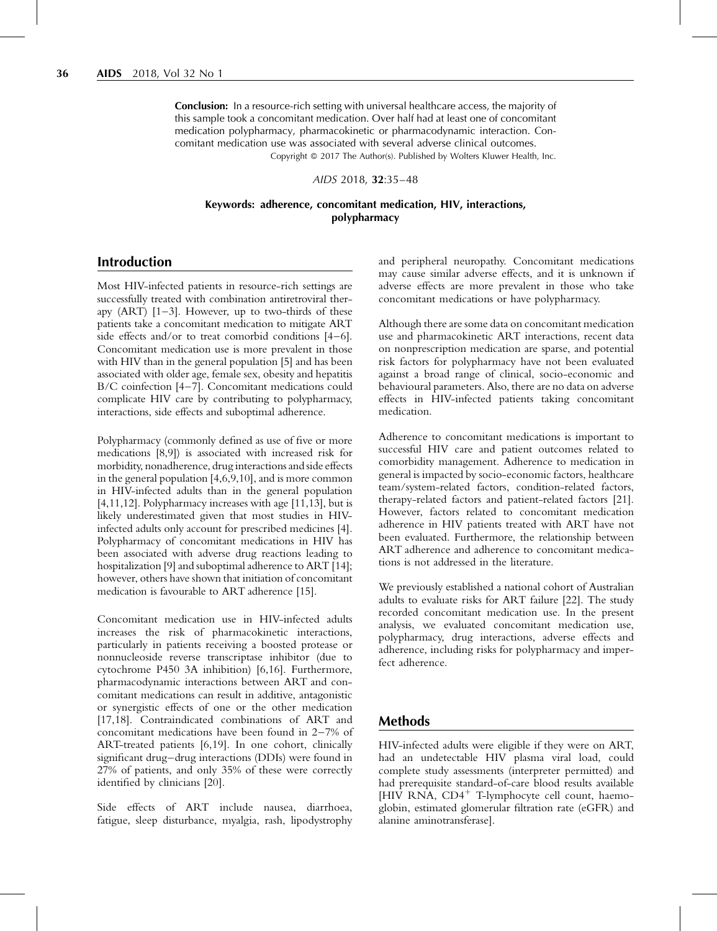**Conclusion:** In a resource-rich setting with universal healthcare access, the majority of this sample took a concomitant medication. Over half had at least one of concomitant medication polypharmacy, pharmacokinetic or pharmacodynamic interaction. Concomitant medication use was associated with several adverse clinical outcomes. Copyright © 2017 The Author(s). Published by Wolters Kluwer Health, Inc.

AIDS 2018, 32:35–48

#### Keywords: adherence, concomitant medication, HIV, interactions, polypharmacy

# Introduction

Most HIV-infected patients in resource-rich settings are successfully treated with combination antiretroviral therapy  $(ART)$   $[1-3]$ . However, up to two-thirds of these patients take a concomitant medication to mitigate ART side effects and/or to treat comorbid conditions [\[4–6\]](#page-12-0). Concomitant medication use is more prevalent in those with HIV than in the general population [\[5\]](#page-12-0) and has been associated with older age, female sex, obesity and hepatitis B/C coinfection [\[4–7\]](#page-12-0). Concomitant medications could complicate HIV care by contributing to polypharmacy, interactions, side effects and suboptimal adherence.

Polypharmacy (commonly defined as use of five or more medications [\[8,9\]](#page-12-0)) is associated with increased risk for morbidity, nonadherence, drug interactions and side effects in the general population [\[4,6,9,10\]](#page-12-0), and is more common in HIV-infected adults than in the general population [\[4,11,12\].](#page-12-0) Polypharmacy increases with age [\[11,13\],](#page-12-0) but is likely underestimated given that most studies in HIVinfected adults only account for prescribed medicines [\[4\]](#page-12-0). Polypharmacy of concomitant medications in HIV has been associated with adverse drug reactions leading to hospitalization [\[9\]](#page-12-0) and suboptimal adherence to ART [\[14\]](#page-12-0); however, others have shown that initiation of concomitant medication is favourable to ART adherence [\[15\].](#page-12-0)

Concomitant medication use in HIV-infected adults increases the risk of pharmacokinetic interactions, particularly in patients receiving a boosted protease or nonnucleoside reverse transcriptase inhibitor (due to cytochrome P450 3A inhibition) [\[6,16\].](#page-12-0) Furthermore, pharmacodynamic interactions between ART and concomitant medications can result in additive, antagonistic or synergistic effects of one or the other medication [\[17,18\]](#page-12-0). Contraindicated combinations of ART and concomitant medications have been found in 2–7% of ART-treated patients [\[6,19\]](#page-12-0). In one cohort, clinically significant drug–drug interactions (DDIs) were found in 27% of patients, and only 35% of these were correctly identified by clinicians [\[20\].](#page-12-0)

Side effects of ART include nausea, diarrhoea, fatigue, sleep disturbance, myalgia, rash, lipodystrophy and peripheral neuropathy. Concomitant medications may cause similar adverse effects, and it is unknown if adverse effects are more prevalent in those who take concomitant medications or have polypharmacy.

Although there are some data on concomitant medication use and pharmacokinetic ART interactions, recent data on nonprescription medication are sparse, and potential risk factors for polypharmacy have not been evaluated against a broad range of clinical, socio-economic and behavioural parameters. Also, there are no data on adverse effects in HIV-infected patients taking concomitant medication.

Adherence to concomitant medications is important to successful HIV care and patient outcomes related to comorbidity management. Adherence to medication in general is impacted by socio-economic factors, healthcare team/system-related factors, condition-related factors, therapy-related factors and patient-related factors [\[21\]](#page-12-0). However, factors related to concomitant medication adherence in HIV patients treated with ART have not been evaluated. Furthermore, the relationship between ART adherence and adherence to concomitant medications is not addressed in the literature.

We previously established a national cohort of Australian adults to evaluate risks for ART failure [\[22\]](#page-12-0). The study recorded concomitant medication use. In the present analysis, we evaluated concomitant medication use, polypharmacy, drug interactions, adverse effects and adherence, including risks for polypharmacy and imperfect adherence.

## Methods

HIV-infected adults were eligible if they were on ART, had an undetectable HIV plasma viral load, could complete study assessments (interpreter permitted) and had prerequisite standard-of-care blood results available  $[HIV \ RNA, CD4^+$  T-lymphocyte cell count, haemoglobin, estimated glomerular filtration rate (eGFR) and alanine aminotransferase].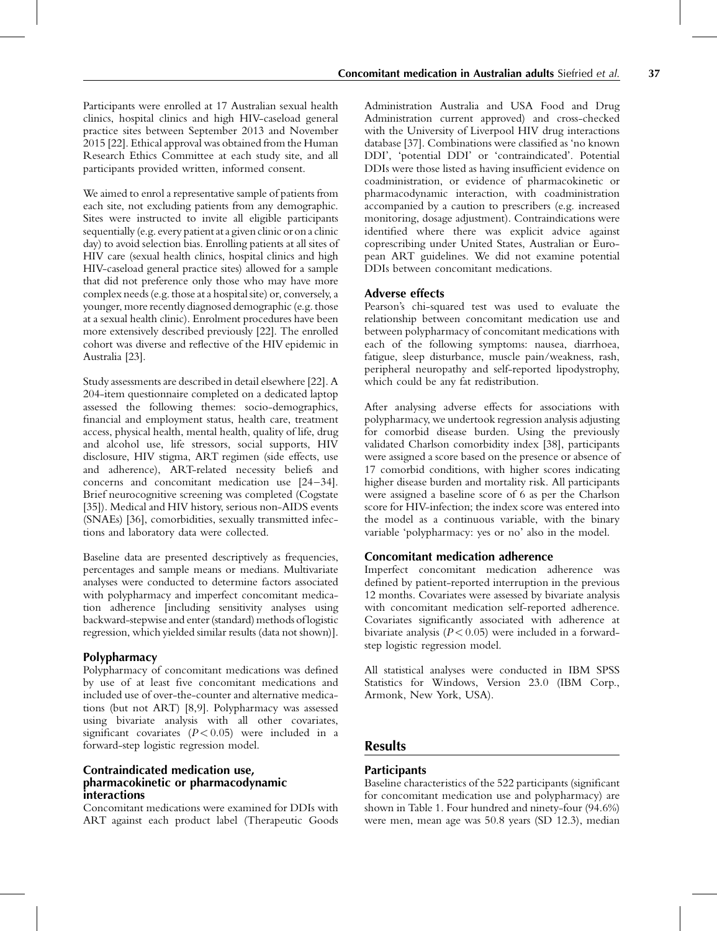Participants were enrolled at 17 Australian sexual health clinics, hospital clinics and high HIV-caseload general practice sites between September 2013 and November 2015 [\[22\].](#page-12-0) Ethical approval was obtained from the Human Research Ethics Committee at each study site, and all participants provided written, informed consent.

We aimed to enrol a representative sample of patients from each site, not excluding patients from any demographic. Sites were instructed to invite all eligible participants sequentially (e.g. every patient at a given clinic oron a clinic day) to avoid selection bias. Enrolling patients at all sites of HIV care (sexual health clinics, hospital clinics and high HIV-caseload general practice sites) allowed for a sample that did not preference only those who may have more complex needs (e.g. those at a hospital site) or, conversely, a younger, more recently diagnosed demographic (e.g. those at a sexual health clinic). Enrolment procedures have been more extensively described previously [\[22\]](#page-12-0). The enrolled cohort was diverse and reflective of the HIV epidemic in Australia [\[23\]](#page-12-0).

Study assessments are described in detail elsewhere [\[22\]](#page-12-0). A 204-item questionnaire completed on a dedicated laptop assessed the following themes: socio-demographics, financial and employment status, health care, treatment access, physical health, mental health, quality of life, drug and alcohol use, life stressors, social supports, HIV disclosure, HIV stigma, ART regimen (side effects, use and adherence), ART-related necessity beliefs and concerns and concomitant medication use [\[24–34\]](#page-12-0). Brief neurocognitive screening was completed (Cogstate [\[35\]](#page-12-0)). Medical and HIV history, serious non-AIDS events (SNAEs) [\[36\],](#page-12-0) comorbidities, sexually transmitted infections and laboratory data were collected.

Baseline data are presented descriptively as frequencies, percentages and sample means or medians. Multivariate analyses were conducted to determine factors associated with polypharmacy and imperfect concomitant medication adherence [including sensitivity analyses using backward-stepwise and enter (standard) methods of logistic regression, which yielded similar results (data not shown)].

## **Polypharmacy**

Polypharmacy of concomitant medications was defined by use of at least five concomitant medications and included use of over-the-counter and alternative medications (but not ART) [\[8,9\]](#page-12-0). Polypharmacy was assessed using bivariate analysis with all other covariates, significant covariates  $(P < 0.05)$  were included in a forward-step logistic regression model.

## Contraindicated medication use, pharmacokinetic or pharmacodynamic interactions

Concomitant medications were examined for DDIs with ART against each product label (Therapeutic Goods

Administration Australia and USA Food and Drug Administration current approved) and cross-checked with the University of Liverpool HIV drug interactions database [\[37\]](#page-12-0). Combinations were classified as 'no known DDI', 'potential DDI' or 'contraindicated'. Potential DDIs were those listed as having insufficient evidence on coadministration, or evidence of pharmacokinetic or pharmacodynamic interaction, with coadministration accompanied by a caution to prescribers (e.g. increased monitoring, dosage adjustment). Contraindications were identified where there was explicit advice against coprescribing under United States, Australian or European ART guidelines. We did not examine potential DDIs between concomitant medications.

## Adverse effects

Pearson's chi-squared test was used to evaluate the relationship between concomitant medication use and between polypharmacy of concomitant medications with each of the following symptoms: nausea, diarrhoea, fatigue, sleep disturbance, muscle pain/weakness, rash, peripheral neuropathy and self-reported lipodystrophy, which could be any fat redistribution.

After analysing adverse effects for associations with polypharmacy, we undertook regression analysis adjusting for comorbid disease burden. Using the previously validated Charlson comorbidity index [\[38\]](#page-12-0), participants were assigned a score based on the presence or absence of 17 comorbid conditions, with higher scores indicating higher disease burden and mortality risk. All participants were assigned a baseline score of 6 as per the Charlson score for HIV-infection; the index score was entered into the model as a continuous variable, with the binary variable 'polypharmacy: yes or no' also in the model.

#### Concomitant medication adherence

Imperfect concomitant medication adherence was defined by patient-reported interruption in the previous 12 months. Covariates were assessed by bivariate analysis with concomitant medication self-reported adherence. Covariates significantly associated with adherence at bivariate analysis ( $P < 0.05$ ) were included in a forwardstep logistic regression model.

All statistical analyses were conducted in IBM SPSS Statistics for Windows, Version 23.0 (IBM Corp., Armonk, New York, USA).

# **Results**

## **Participants**

Baseline characteristics of the 522 participants (significant for concomitant medication use and polypharmacy) are shown in [Table 1.](#page-3-0) Four hundred and ninety-four (94.6%) were men, mean age was 50.8 years (SD 12.3), median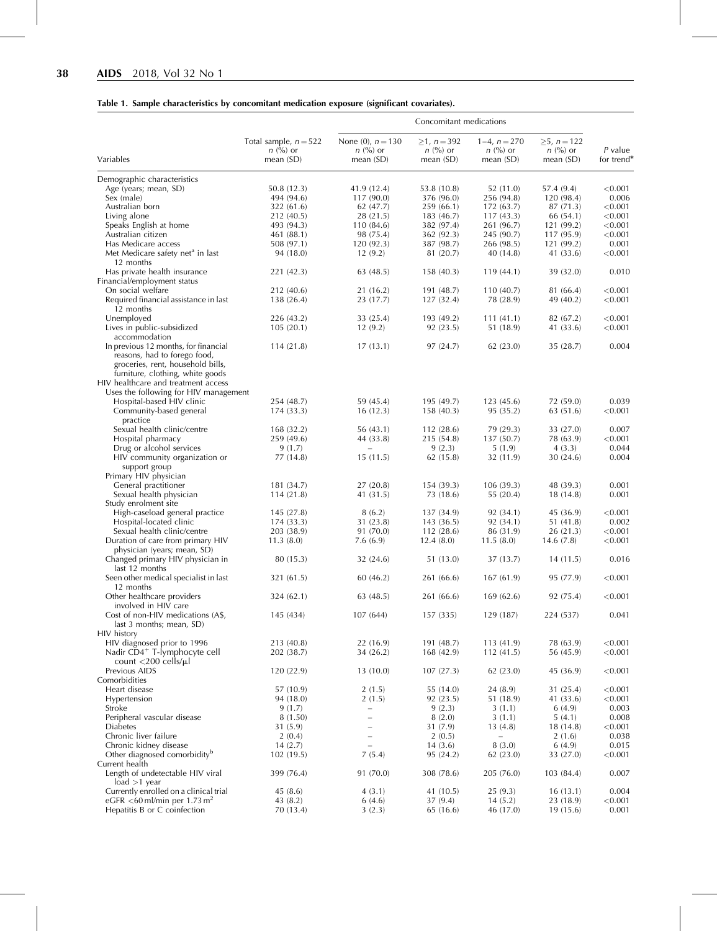# <span id="page-3-0"></span>Table 1. Sample characteristics by concomitant medication exposure (significant covariates).

|                                                                                                                                               | Concomitant medications                                 |                                                   |                                            |                                           |                                               |                         |  |  |  |
|-----------------------------------------------------------------------------------------------------------------------------------------------|---------------------------------------------------------|---------------------------------------------------|--------------------------------------------|-------------------------------------------|-----------------------------------------------|-------------------------|--|--|--|
| Variables                                                                                                                                     | Total sample, $n = 522$<br>$n \ (\%)$ or<br>mean $(SD)$ | None (0), $n = 130$<br>$n \ (\%)$ or<br>mean (SD) | $≥1, n = 392$<br>$n$ (%) or<br>mean $(SD)$ | $1-4, n=270$<br>$n$ (%) or<br>mean $(SD)$ | $\geq 5$ , n = 122<br>$n$ (%) or<br>mean (SD) | $P$ value<br>for trend* |  |  |  |
| Demographic characteristics                                                                                                                   |                                                         |                                                   |                                            |                                           |                                               |                         |  |  |  |
| Age (years; mean, SD)                                                                                                                         | 50.8 (12.3)                                             | 41.9 (12.4)                                       | 53.8 (10.8)                                | 52 (11.0)                                 | 57.4 (9.4)                                    | < 0.001                 |  |  |  |
| Sex (male)                                                                                                                                    | 494 (94.6)                                              | 117 (90.0)                                        | 376 (96.0)                                 | 256 (94.8)                                | 120 (98.4)                                    | 0.006                   |  |  |  |
| Australian born<br>Living alone                                                                                                               | 322 (61.6)<br>212 (40.5)                                | 62(47.7)<br>28 (21.5)                             | 259 (66.1)<br>183 (46.7)                   | 172 (63.7)<br>117(43.3)                   | 87 (71.3)<br>66 (54.1)                        | < 0.001<br>< 0.001      |  |  |  |
| Speaks English at home                                                                                                                        | 493 (94.3)                                              | 110 (84.6)                                        | 382 (97.4)                                 | 261 (96.7)                                | 121 (99.2)                                    | < 0.001                 |  |  |  |
| Australian citizen                                                                                                                            | 461 (88.1)                                              | 98 (75.4)                                         | 362 (92.3)                                 | 245 (90.7)                                | 117 (95.9)                                    | < 0.001                 |  |  |  |
| Has Medicare access                                                                                                                           | 508 (97.1)                                              | 120(92.3)                                         | 387 (98.7)                                 | 266 (98.5)                                | 121 (99.2)                                    | 0.001                   |  |  |  |
| Met Medicare safety net <sup>a</sup> in last<br>12 months                                                                                     | 94 (18.0)                                               | 12(9.2)                                           | 81 (20.7)                                  | 40 (14.8)                                 | 41 (33.6)                                     | < 0.001                 |  |  |  |
| Has private health insurance<br>Financial/employment status                                                                                   | 221 (42.3)                                              | 63(48.5)                                          | 158(40.3)                                  | 119(44.1)                                 | 39 (32.0)                                     | 0.010                   |  |  |  |
| On social welfare                                                                                                                             | 212 (40.6)                                              | 21 (16.2)                                         | 191 (48.7)                                 | 110(40.7)                                 | 81 (66.4)                                     | < 0.001                 |  |  |  |
| Required financial assistance in last<br>12 months                                                                                            | 138 (26.4)                                              | 23 (17.7)                                         | 127(32.4)                                  | 78 (28.9)                                 | 49 (40.2)                                     | < 0.001                 |  |  |  |
| Unemployed                                                                                                                                    | 226 (43.2)                                              | 33 (25.4)                                         | 193 (49.2)                                 | 111(41.1)                                 | 82 (67.2)                                     | < 0.001                 |  |  |  |
| Lives in public-subsidized<br>accommodation                                                                                                   | 105(20.1)                                               | 12(9.2)                                           | 92 (23.5)                                  | 51 (18.9)                                 | 41 (33.6)                                     | < 0.001                 |  |  |  |
| In previous 12 months, for financial<br>reasons, had to forego food,<br>groceries, rent, household bills,<br>furniture, clothing, white goods | 114(21.8)                                               | 17(13.1)                                          | 97(24.7)                                   | 62 (23.0)                                 | 35 (28.7)                                     | 0.004                   |  |  |  |
| HIV healthcare and treatment access                                                                                                           |                                                         |                                                   |                                            |                                           |                                               |                         |  |  |  |
| Uses the following for HIV management                                                                                                         |                                                         |                                                   |                                            |                                           |                                               |                         |  |  |  |
| Hospital-based HIV clinic<br>Community-based general                                                                                          | 254 (48.7)<br>174 (33.3)                                | 59 (45.4)<br>16(12.3)                             | 195 (49.7)<br>158(40.3)                    | 123(45.6)<br>95 (35.2)                    | 72 (59.0)<br>63 (51.6)                        | 0.039<br>< 0.001        |  |  |  |
| practice                                                                                                                                      |                                                         |                                                   | 112 (28.6)                                 |                                           |                                               |                         |  |  |  |
| Sexual health clinic/centre<br>Hospital pharmacy                                                                                              | 168 (32.2)<br>259 (49.6)                                | 56 (43.1)<br>44 (33.8)                            | 215 (54.8)                                 | 79 (29.3)<br>137 (50.7)                   | 33 (27.0)<br>78 (63.9)                        | 0.007<br>< 0.001        |  |  |  |
| Drug or alcohol services                                                                                                                      | 9(1.7)                                                  |                                                   | 9(2.3)                                     | 5(1.9)                                    | 4(3.3)                                        | 0.044                   |  |  |  |
| HIV community organization or<br>support group                                                                                                | 77 (14.8)                                               | 15(11.5)                                          | 62(15.8)                                   | 32 (11.9)                                 | 30(24.6)                                      | 0.004                   |  |  |  |
| Primary HIV physician                                                                                                                         |                                                         |                                                   |                                            |                                           |                                               |                         |  |  |  |
| General practitioner                                                                                                                          | 181 (34.7)                                              | 27(20.8)                                          | 154 (39.3)                                 | 106(39.3)                                 | 48 (39.3)                                     | 0.001                   |  |  |  |
| Sexual health physician<br>Study enrolment site                                                                                               | 114(21.8)                                               | 41 (31.5)                                         | 73 (18.6)                                  | 55 (20.4)                                 | 18(14.8)                                      | 0.001                   |  |  |  |
| High-caseload general practice                                                                                                                | 145 (27.8)                                              | 8(6.2)                                            | 137 (34.9)                                 | 92 (34.1)                                 | 45 (36.9)                                     | < 0.001                 |  |  |  |
| Hospital-located clinic                                                                                                                       | 174(33.3)                                               | 31 (23.8)                                         | 143(36.5)                                  | 92 (34.1)                                 | 51(41.8)                                      | 0.002                   |  |  |  |
| Sexual health clinic/centre                                                                                                                   | 203 (38.9)                                              | 91 (70.0)                                         | 112(28.6)                                  | 86 (31.9)                                 | 26 (21.3)                                     | < 0.001                 |  |  |  |
| Duration of care from primary HIV<br>physician (years; mean, SD)                                                                              | 11.3(8.0)                                               | 7.6(6.9)                                          | 12.4(8.0)                                  | 11.5(8.0)                                 | 14.6(7.8)                                     | < 0.001                 |  |  |  |
| Changed primary HIV physician in<br>last 12 months                                                                                            | 80 (15.3)                                               | 32(24.6)                                          | 51 (13.0)                                  | 37 (13.7)                                 | 14(11.5)                                      | 0.016                   |  |  |  |
| Seen other medical specialist in last<br>12 months                                                                                            | 321 (61.5)                                              | 60(46.2)                                          | 261 (66.6)                                 | 167(61.9)                                 | 95 (77.9)                                     | < 0.001                 |  |  |  |
| Other healthcare providers<br>involved in HIV care                                                                                            | 324 (62.1)                                              | 63(48.5)                                          | 261 (66.6)                                 | 169(62.6)                                 | 92 (75.4)                                     | < 0.001                 |  |  |  |
| Cost of non-HIV medications (A\$,<br>last 3 months; mean, SD)                                                                                 | 145 (434)                                               | 107 (644)                                         | 157 (335)                                  | 129 (187)                                 | 224 (537)                                     | 0.041                   |  |  |  |
| HIV history                                                                                                                                   |                                                         |                                                   |                                            |                                           |                                               |                         |  |  |  |
| HIV diagnosed prior to 1996                                                                                                                   | 213 (40.8)                                              | 22 (16.9)                                         | 191 (48.7)                                 | 113 (41.9)                                | 78 (63.9)                                     | < 0.001                 |  |  |  |
| Nadir CD4 <sup>+</sup> T-lymphocyte cell                                                                                                      | 202 (38.7)                                              | 34 (26.2)                                         | 168 (42.9)                                 | 112(41.5)                                 | 56 (45.9)                                     | < 0.001                 |  |  |  |
| count $\langle 200 \text{ cells/}\mu$                                                                                                         |                                                         |                                                   |                                            |                                           |                                               |                         |  |  |  |
| Previous AIDS<br>Comorbidities                                                                                                                | 120(22.9)                                               | 13(10.0)                                          | 107(27.3)                                  | 62(23.0)                                  | 45 (36.9)                                     | < 0.001                 |  |  |  |
| Heart disease                                                                                                                                 | 57 (10.9)                                               | 2(1.5)                                            | 55 (14.0)                                  | 24(8.9)                                   | 31 (25.4)                                     | < 0.001                 |  |  |  |
| Hypertension                                                                                                                                  | 94 (18.0)                                               | 2(1.5)                                            | 92 (23.5)                                  | 51 (18.9)                                 | 41 (33.6)                                     | < 0.001                 |  |  |  |
| Stroke                                                                                                                                        | 9(1.7)                                                  | $\qquad \qquad -$                                 | 9(2.3)                                     | 3(1.1)                                    | 6(4.9)                                        | 0.003                   |  |  |  |
| Peripheral vascular disease                                                                                                                   | 8(1.50)                                                 | $\overline{\phantom{0}}$                          | 8(2.0)                                     | 3(1.1)                                    | 5(4.1)                                        | 0.008                   |  |  |  |
| <b>Diabetes</b>                                                                                                                               | 31 (5.9)                                                |                                                   | 31 (7.9)                                   | 13(4.8)                                   | 18 (14.8)                                     | < 0.001                 |  |  |  |
| Chronic liver failure                                                                                                                         | 2(0.4)                                                  |                                                   | 2(0.5)                                     |                                           | 2(1.6)                                        | 0.038                   |  |  |  |
| Chronic kidney disease<br>Other diagnosed comorbidity <sup>b</sup>                                                                            | 14(2.7)<br>102(19.5)                                    | 7(5.4)                                            | 14(3.6)<br>95 (24.2)                       | 8(3.0)<br>62(23.0)                        | 6(4.9)<br>33 (27.0)                           | 0.015<br>< 0.001        |  |  |  |
| Current health                                                                                                                                |                                                         |                                                   |                                            |                                           |                                               |                         |  |  |  |
| Length of undetectable HIV viral<br>$load >1$ year                                                                                            | 399 (76.4)                                              | 91 (70.0)                                         | 308 (78.6)                                 | 205 (76.0)                                | 103(84.4)                                     | 0.007                   |  |  |  |
| Currently enrolled on a clinical trial                                                                                                        | 45(8.6)                                                 | 4(3.1)                                            | 41 (10.5)                                  | 25(9.3)                                   | 16(13.1)                                      | 0.004                   |  |  |  |
| eGFR <60 ml/min per 1.73 m <sup>2</sup>                                                                                                       | 43 (8.2)                                                | 6(4.6)                                            | 37(9.4)                                    | 14(5.2)                                   | 23 (18.9)                                     | < 0.001                 |  |  |  |
| Hepatitis B or C coinfection                                                                                                                  | 70 (13.4)                                               | 3(2.3)                                            | 65 (16.6)                                  | 46 (17.0)                                 | 19(15.6)                                      | 0.001                   |  |  |  |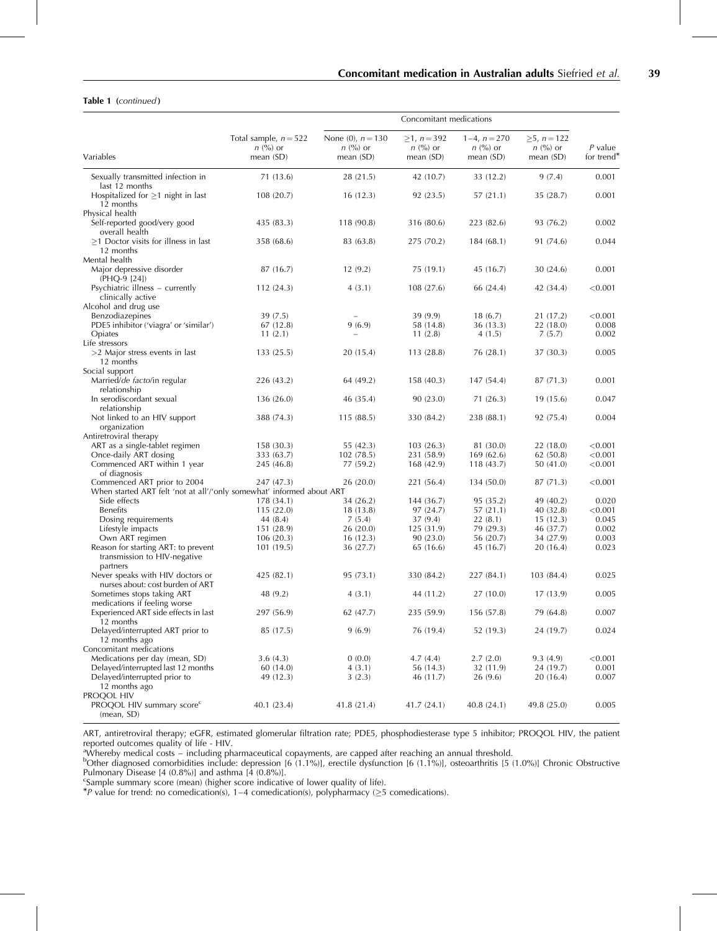#### <span id="page-4-0"></span>Table 1 (continued)

| Variables                                                                       | Total sample, $n = 522$<br>$n$ (%) or<br>mean $(SD)$ | None (0), $n = 130$<br>$n \ (\%)$ or<br>mean $(SD)$ | $\geq 1$ , n = 392<br>$n$ (%) or<br>mean $(SD)$ | $1-4, n=270$<br>$n$ (%) or<br>mean $(SD)$ | $\geq 5$ , $n = 122$<br>$n \ (\%)$ or<br>mean (SD) | $P$ value<br>for trend <sup>*</sup> |
|---------------------------------------------------------------------------------|------------------------------------------------------|-----------------------------------------------------|-------------------------------------------------|-------------------------------------------|----------------------------------------------------|-------------------------------------|
| Sexually transmitted infection in                                               | 71 (13.6)                                            | 28 (21.5)                                           | 42 (10.7)                                       | 33 (12.2)                                 | 9(7.4)                                             | 0.001                               |
| last 12 months<br>Hospitalized for $\geq$ 1 night in last<br>12 months          | 108 (20.7)                                           | 16(12.3)                                            | 92 (23.5)                                       | 57(21.1)                                  | 35 (28.7)                                          | 0.001                               |
| Physical health<br>Self-reported good/very good<br>overall health               | 435 (83.3)                                           | 118 (90.8)                                          | 316 (80.6)                                      | 223 (82.6)                                | 93 (76.2)                                          | 0.002                               |
| $\geq$ 1 Doctor visits for illness in last<br>12 months                         | 358 (68.6)                                           | 83 (63.8)                                           | 275 (70.2)                                      | 184(68.1)                                 | 91 (74.6)                                          | 0.044                               |
| Mental health<br>Major depressive disorder<br>(PHQ-9 [24])                      | 87 (16.7)                                            | 12(9.2)                                             | 75 (19.1)                                       | 45 (16.7)                                 | 30(24.6)                                           | 0.001                               |
| Psychiatric illness – currently<br>clinically active                            | 112(24.3)                                            | 4(3.1)                                              | 108(27.6)                                       | 66 (24.4)                                 | 42 (34.4)                                          | < 0.001                             |
| Alcohol and drug use<br>Benzodiazepines                                         | 39(7.5)                                              |                                                     | 39 (9.9)                                        | 18(6.7)                                   | 21 (17.2)                                          | < 0.001                             |
| PDE5 inhibitor ('viagra' or 'similar')                                          | 67 (12.8)                                            | 9(6.9)                                              | 58 (14.8)                                       | 36(13.3)                                  | 22 (18.0)                                          | 0.008                               |
| Opiates                                                                         | 11(2.1)                                              |                                                     | 11(2.8)                                         | 4(1.5)                                    | 7(5.7)                                             | 0.002                               |
| Life stressors                                                                  |                                                      |                                                     |                                                 |                                           |                                                    |                                     |
| >2 Major stress events in last<br>12 months                                     | 133(25.5)                                            | 20 (15.4)                                           | 113(28.8)                                       | 76 (28.1)                                 | 37 (30.3)                                          | 0.005                               |
| Social support                                                                  |                                                      |                                                     |                                                 |                                           |                                                    |                                     |
| Married/de facto/in regular<br>relationship                                     | 226 (43.2)                                           | 64 (49.2)                                           | 158(40.3)                                       | 147 (54.4)                                | 87 (71.3)                                          | 0.001                               |
| In serodiscordant sexual<br>relationship                                        | 136 (26.0)                                           | 46 (35.4)                                           | 90 (23.0)                                       | 71(26.3)                                  | 19(15.6)                                           | 0.047                               |
| Not linked to an HIV support<br>organization                                    | 388 (74.3)                                           | 115(88.5)                                           | 330 (84.2)                                      | 238 (88.1)                                | 92 (75.4)                                          | 0.004                               |
| Antiretroviral therapy                                                          |                                                      |                                                     |                                                 |                                           |                                                    |                                     |
| ART as a single-tablet regimen                                                  | 158 (30.3)                                           | 55 (42.3)                                           | 103(26.3)                                       | 81 (30.0)                                 | 22(18.0)                                           | < 0.001                             |
| Once-daily ART dosing                                                           | 333 (63.7)                                           | 102(78.5)                                           | 231 (58.9)                                      | 169(62.6)                                 | 62(50.8)                                           | < 0.001                             |
| Commenced ART within 1 year<br>of diagnosis                                     | 245 (46.8)                                           | 77 (59.2)                                           | 168 (42.9)                                      | 118(43.7)                                 | 50(41.0)                                           | < 0.001                             |
| Commenced ART prior to 2004                                                     | 247 (47.3)                                           | 26 (20.0)                                           | 221 (56.4)                                      | 134 (50.0)                                | 87 (71.3)                                          | < 0.001                             |
| When started ART felt 'not at all'/'only somewhat' informed about ART           |                                                      |                                                     |                                                 |                                           |                                                    |                                     |
| Side effects                                                                    | 178 (34.1)                                           | 34 (26.2)                                           | 144 (36.7)                                      | 95 (35.2)                                 | 49 (40.2)                                          | 0.020                               |
| <b>Benefits</b>                                                                 | 115(22.0)                                            | 18 (13.8)                                           | 97(24.7)                                        | 57(21.1)                                  | 40 (32.8)                                          | < 0.001                             |
| Dosing requirements                                                             | 44 (8.4)                                             | 7(5.4)                                              | 37(9.4)                                         | 22(8.1)                                   | 15(12.3)                                           | 0.045                               |
| Lifestyle impacts                                                               | 151 (28.9)                                           | 26 (20.0)                                           | 125 (31.9)                                      | 79 (29.3)                                 | 46 (37.7)                                          | 0.002                               |
| Own ART regimen                                                                 | 106(20.3)                                            | 16(12.3)                                            | 90 (23.0)                                       | 56 (20.7)                                 | 34 (27.9)                                          | 0.003                               |
| Reason for starting ART: to prevent<br>transmission to HIV-negative<br>partners | 101(19.5)                                            | 36 (27.7)                                           | 65 (16.6)                                       | 45 (16.7)                                 | 20(16.4)                                           | 0.023                               |
| Never speaks with HIV doctors or<br>nurses about: cost burden of ART            | 425 (82.1)                                           | 95 (73.1)                                           | 330 (84.2)                                      | 227 (84.1)                                | 103 (84.4)                                         | 0.025                               |
| Sometimes stops taking ART<br>medications if feeling worse                      | 48 (9.2)                                             | 4(3.1)                                              | 44 (11.2)                                       | 27(10.0)                                  | 17(13.9)                                           | 0.005                               |
| Experienced ART side effects in last<br>12 months                               | 297 (56.9)                                           | 62(47.7)                                            | 235 (59.9)                                      | 156 (57.8)                                | 79 (64.8)                                          | 0.007                               |
| Delayed/interrupted ART prior to<br>12 months ago                               | 85 (17.5)                                            | 9(6.9)                                              | 76 (19.4)                                       | 52 (19.3)                                 | 24 (19.7)                                          | 0.024                               |
| Concomitant medications                                                         |                                                      |                                                     |                                                 |                                           |                                                    |                                     |
| Medications per day (mean, SD)                                                  | 3.6(4.3)                                             | 0(0.0)                                              | 4.7(4.4)                                        | 2.7(2.0)                                  | 9.3(4.9)                                           | < 0.001                             |
| Delayed/interrupted last 12 months                                              | 60 (14.0)                                            | 4(3.1)                                              | 56 (14.3)                                       | 32 (11.9)                                 | 24 (19.7)                                          | 0.001                               |
| Delayed/interrupted prior to<br>12 months ago<br>PROQOL HIV                     | 49 (12.3)                                            | 3(2.3)                                              | 46 (11.7)                                       | 26(9.6)                                   | 20(16.4)                                           | 0.007                               |
| PROQOL HIV summary score <sup>c</sup><br>(mean, SD)                             | 40.1 (23.4)                                          | 41.8 (21.4)                                         | 41.7 (24.1)                                     | 40.8(24.1)                                | 49.8 (25.0)                                        | 0.005                               |

ART, antiretroviral therapy; eGFR, estimated glomerular filtration rate; PDE5, phosphodiesterase type 5 inhibitor; PROQOL HIV, the patient

reported outcomes quality of life - HIV.<br><sup>a</sup>Whereby medical costs – including pharmaceutical copayments, are capped after reaching an annual threshold.<br><sup>b</sup>Other diagnosed comorbidities include: depression [6 (1.1%)], erect Pulmonary Disease [4 (0.8%)] and asthma [4 (0.8%)].

Example summary score (mean) (higher score indicative of lower quality of life).<br>\*P value for trend: no comedication(s), 1–4 comedication(s), polypharmacy ( $\geq$ 5 comedications).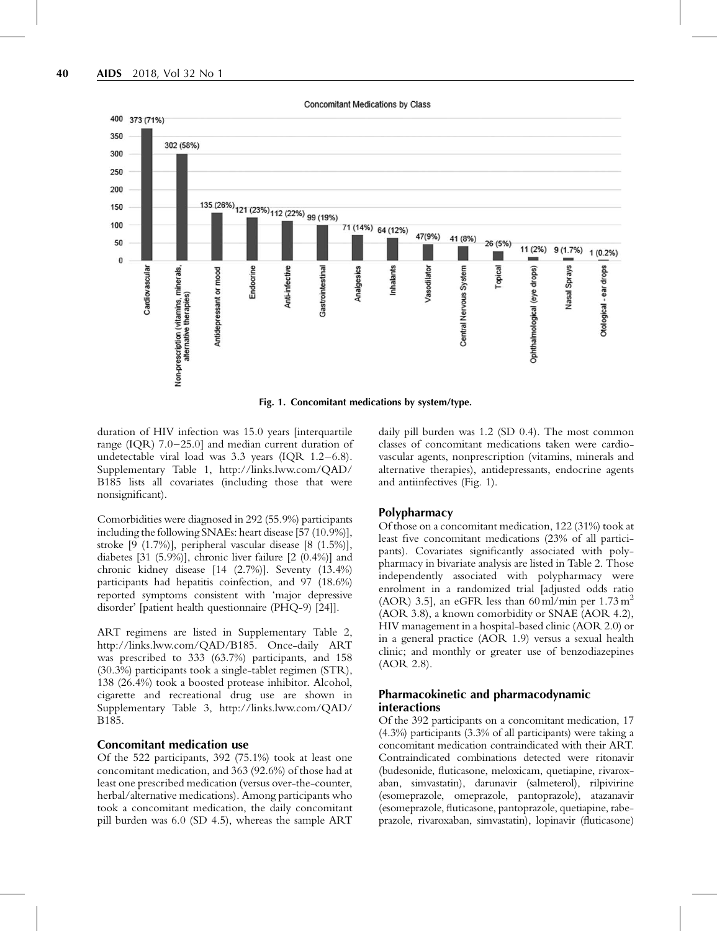

Fig. 1. Concomitant medications by system/type.

duration of HIV infection was 15.0 years linterquartile range (IQR) 7.0–25.0] and median current duration of undetectable viral load was 3.3 years (IQR 1.2–6.8). Supplementary Table 1, [http://links.lww.com/QAD/](http://links.lww.com/QAD/B185) [B185](http://links.lww.com/QAD/B185) lists all covariates (including those that were nonsignificant).

Comorbidities were diagnosed in 292 (55.9%) participants including the following SNAEs: heart disease [57 (10.9%)], stroke [9 (1.7%)], peripheral vascular disease [8 (1.5%)], diabetes [31 (5.9%)], chronic liver failure [2 (0.4%)] and chronic kidney disease [14 (2.7%)]. Seventy (13.4%) participants had hepatitis coinfection, and 97 (18.6%) reported symptoms consistent with 'major depressive disorder' [patient health questionnaire (PHQ-9) [\[24\]](#page-12-0)].

ART regimens are listed in Supplementary Table 2, <http://links.lww.com/QAD/B185>. Once-daily ART was prescribed to 333 (63.7%) participants, and 158 (30.3%) participants took a single-tablet regimen (STR), 138 (26.4%) took a boosted protease inhibitor. Alcohol, cigarette and recreational drug use are shown in Supplementary Table 3, [http://links.lww.com/QAD/](http://links.lww.com/QAD/B185) [B185.](http://links.lww.com/QAD/B185)

## Concomitant medication use

Of the 522 participants, 392 (75.1%) took at least one concomitant medication, and 363 (92.6%) of those had at least one prescribed medication (versus over-the-counter, herbal/alternative medications). Among participants who took a concomitant medication, the daily concomitant pill burden was 6.0 (SD 4.5), whereas the sample ART

daily pill burden was 1.2 (SD 0.4). The most common classes of concomitant medications taken were cardiovascular agents, nonprescription (vitamins, minerals and alternative therapies), antidepressants, endocrine agents and antiinfectives (Fig. 1).

## Polypharmacy

Of those on a concomitant medication, 122 (31%) took at least five concomitant medications (23% of all participants). Covariates significantly associated with polypharmacy in bivariate analysis are listed in [Table 2](#page-6-0). Those independently associated with polypharmacy were enrolment in a randomized trial [adjusted odds ratio (AOR) 3.5], an eGFR less than 60 ml/min per  $1.73 \text{ m}^2$ (AOR 3.8), a known comorbidity or SNAE (AOR 4.2), HIV management in a hospital-based clinic (AOR 2.0) or in a general practice (AOR 1.9) versus a sexual health clinic; and monthly or greater use of benzodiazepines (AOR 2.8).

## Pharmacokinetic and pharmacodynamic interactions

Of the 392 participants on a concomitant medication, 17 (4.3%) participants (3.3% of all participants) were taking a concomitant medication contraindicated with their ART. Contraindicated combinations detected were ritonavir (budesonide, fluticasone, meloxicam, quetiapine, rivaroxaban, simvastatin), darunavir (salmeterol), rilpivirine (esomeprazole, omeprazole, pantoprazole), atazanavir (esomeprazole, fluticasone, pantoprazole, quetiapine, rabeprazole, rivaroxaban, simvastatin), lopinavir (fluticasone)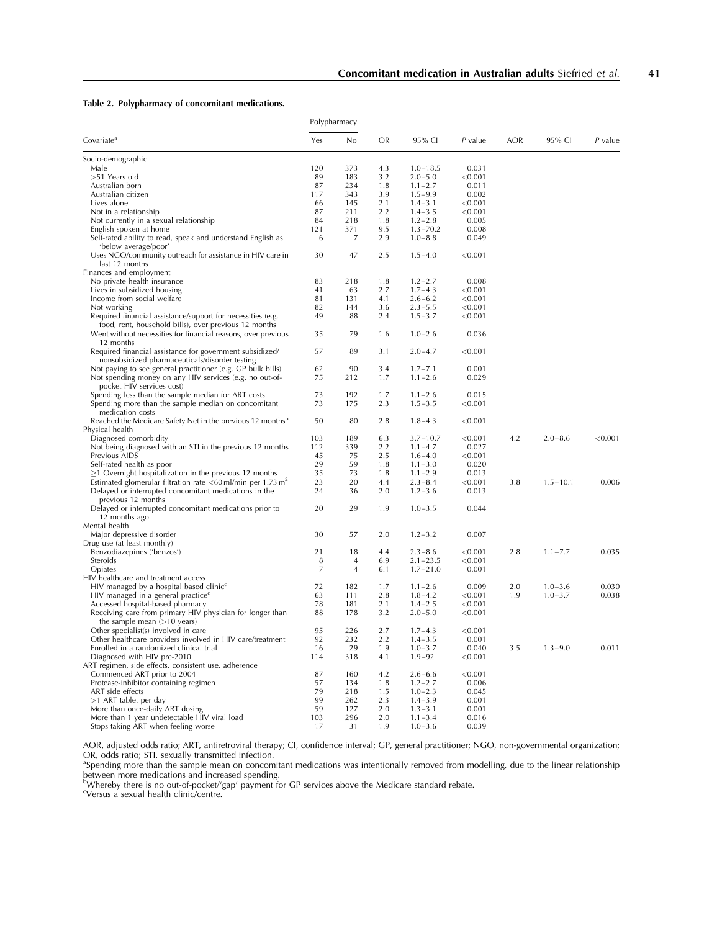#### <span id="page-6-0"></span>Table 2. Polypharmacy of concomitant medications.

|                                                                                                            | Polypharmacy |     |           |              |           |            |              |         |
|------------------------------------------------------------------------------------------------------------|--------------|-----|-----------|--------------|-----------|------------|--------------|---------|
| Covariate <sup>4</sup>                                                                                     | Yes          | No  | <b>OR</b> | 95% CI       | $P$ value | <b>AOR</b> | 95% CI       | P value |
| Socio-demographic                                                                                          |              |     |           |              |           |            |              |         |
| Male                                                                                                       | 120          | 373 | 4.3       | $1.0 - 18.5$ | 0.031     |            |              |         |
| >51 Years old                                                                                              | 89           | 183 | 3.2       | $2.0 - 5.0$  | < 0.001   |            |              |         |
| Australian born                                                                                            | 87           | 234 | 1.8       | $1.1 - 2.7$  | 0.011     |            |              |         |
| Australian citizen                                                                                         | 117          | 343 | 3.9       | $1.5 - 9.9$  | 0.002     |            |              |         |
| Lives alone                                                                                                | 66           | 145 | 2.1       | $1.4 - 3.1$  | < 0.001   |            |              |         |
| Not in a relationship                                                                                      | 87           | 211 | 2.2       | $1.4 - 3.5$  | < 0.001   |            |              |         |
| Not currently in a sexual relationship                                                                     | 84           | 218 | 1.8       | $1.2 - 2.8$  | 0.005     |            |              |         |
| English spoken at home                                                                                     | 121          | 371 | 9.5       | $1.3 - 70.2$ | 0.008     |            |              |         |
| Self-rated ability to read, speak and understand English as<br>'below average/poor'                        | 6            | 7   | 2.9       | $1.0 - 8.8$  | 0.049     |            |              |         |
| Uses NGO/community outreach for assistance in HIV care in<br>last 12 months                                | 30           | 47  | 2.5       | $1.5 - 4.0$  | < 0.001   |            |              |         |
| Finances and employment                                                                                    |              |     |           |              |           |            |              |         |
| No private health insurance                                                                                | 83           | 218 | 1.8       | $1.2 - 2.7$  | 0.008     |            |              |         |
| Lives in subsidized housing                                                                                | 41           | 63  | 2.7       | $1.7 - 4.3$  | < 0.001   |            |              |         |
| Income from social welfare                                                                                 | 81           | 131 | 4.1       | $2.6 - 6.2$  | < 0.001   |            |              |         |
| Not working                                                                                                | 82           | 144 | 3.6       | $2.3 - 5.5$  | < 0.001   |            |              |         |
| Required financial assistance/support for necessities (e.g.                                                | 49           | 88  | 2.4       | $1.5 - 3.7$  | < 0.001   |            |              |         |
| food, rent, household bills), over previous 12 months                                                      |              |     |           |              |           |            |              |         |
| Went without necessities for financial reasons, over previous<br>12 months                                 | 35           | 79  | 1.6       | $1.0 - 2.6$  | 0.036     |            |              |         |
| Required financial assistance for government subsidized/<br>nonsubsidized pharmaceuticals/disorder testing | 57           | 89  | 3.1       | $2.0 - 4.7$  | < 0.001   |            |              |         |
| Not paying to see general practitioner (e.g. GP bulk bills)                                                | 62           | 90  | 3.4       | $1.7 - 7.1$  | 0.001     |            |              |         |
| Not spending money on any HIV services (e.g. no out-of-<br>pocket HIV services cost)                       | 75           | 212 | 1.7       | $1.1 - 2.6$  | 0.029     |            |              |         |
| Spending less than the sample median for ART costs                                                         | 73           | 192 | 1.7       | $1.1 - 2.6$  | 0.015     |            |              |         |
| Spending more than the sample median on concomitant<br>medication costs                                    | 73           | 175 | 2.3       | $1.5 - 3.5$  | < 0.001   |            |              |         |
| Reached the Medicare Safety Net in the previous 12 months <sup>b</sup>                                     | 50           | 80  | 2.8       | $1.8 - 4.3$  | < 0.001   |            |              |         |
| Physical health                                                                                            |              |     |           |              |           |            |              |         |
| Diagnosed comorbidity                                                                                      | 103          | 189 | 6.3       | $3.7 - 10.7$ | < 0.001   | 4.2        | $2.0 - 8.6$  | < 0.001 |
| Not being diagnosed with an STI in the previous 12 months                                                  | 112          | 339 | 2.2       | $1.1 - 4.7$  | 0.027     |            |              |         |
| Previous AIDS                                                                                              | 45           | 75  | 2.5       | $1.6 - 4.0$  | < 0.001   |            |              |         |
| Self-rated health as poor                                                                                  | 29           | 59  | 1.8       | $1.1 - 3.0$  | 0.020     |            |              |         |
| $\geq$ 1 Overnight hospitalization in the previous 12 months                                               | 35           | 73  | 1.8       | $1.1 - 2.9$  | 0.013     |            |              |         |
| Estimated glomerular filtration rate $<$ 60 ml/min per 1.73 m <sup>2</sup>                                 | 23           | 20  | 4.4       | $2.3 - 8.4$  | < 0.001   | 3.8        | $1.5 - 10.1$ | 0.006   |
| Delayed or interrupted concomitant medications in the                                                      | 24           | 36  | 2.0       | $1.2 - 3.6$  | 0.013     |            |              |         |
| previous 12 months<br>Delayed or interrupted concomitant medications prior to                              | 20           | 29  | 1.9       | $1.0 - 3.5$  | 0.044     |            |              |         |
| 12 months ago<br>Mental health                                                                             |              |     |           |              |           |            |              |         |
| Major depressive disorder                                                                                  | 30           | 57  | 2.0       | $1.2 - 3.2$  | 0.007     |            |              |         |
| Drug use (at least monthly)                                                                                |              |     |           |              |           |            |              |         |
|                                                                                                            | 21           | 18  |           |              |           | 2.8        | $1.1 - 7.7$  | 0.035   |
| Benzodiazepines ('benzos')                                                                                 |              |     | 4.4       | $2.3 - 8.6$  | < 0.001   |            |              |         |
| Steroids                                                                                                   | 8            | 4   | 6.9       | $2.1 - 23.5$ | < 0.001   |            |              |         |
| Opiates<br>HIV healthcare and treatment access                                                             | 7            | 4   | 6.1       | $1.7 - 21.0$ | 0.001     |            |              |         |
|                                                                                                            |              |     |           |              |           |            |              |         |
| $HIV$ managed by a hospital based clinic <sup>c</sup>                                                      | 72           | 182 | 1.7       | $1.1 - 2.6$  | 0.009     | 2.0        | $1.0 - 3.6$  | 0.030   |
| $HIV$ managed in a general practice <sup>c</sup>                                                           | 63           | 111 | 2.8       | $1.8 - 4.2$  | < 0.001   | 1.9        | $1.0 - 3.7$  | 0.038   |
| Accessed hospital-based pharmacy                                                                           | 78           | 181 | 2.1       | $1.4 - 2.5$  | < 0.001   |            |              |         |
| Receiving care from primary HIV physician for longer than<br>the sample mean $(>10$ years)                 | 88           | 178 | 3.2       | $2.0 - 5.0$  | < 0.001   |            |              |         |
| Other specialist(s) involved in care                                                                       | 95           | 226 | 2.7       | $1.7 - 4.3$  | < 0.001   |            |              |         |
| Other healthcare providers involved in HIV care/treatment                                                  | 92           | 232 | 2.2       | $1.4 - 3.5$  | 0.001     |            |              |         |
| Enrolled in a randomized clinical trial                                                                    | 16           | 29  | 1.9       | $1.0 - 3.7$  | 0.040     | 3.5        | $1.3 - 9.0$  | 0.011   |
| Diagnosed with HIV pre-2010                                                                                | 114          | 318 | 4.1       | $1.9 - 92$   | < 0.001   |            |              |         |
| ART regimen, side effects, consistent use, adherence                                                       |              |     |           |              |           |            |              |         |
| Commenced ART prior to 2004                                                                                | 87           | 160 | 4.2       | $2.6 - 6.6$  | < 0.001   |            |              |         |
| Protease-inhibitor containing regimen                                                                      | 57           | 134 | 1.8       | $1.2 - 2.7$  | 0.006     |            |              |         |
| ART side effects                                                                                           | 79           | 218 | 1.5       | $1.0 - 2.3$  | 0.045     |            |              |         |
| >1 ART tablet per day                                                                                      | 99           | 262 | 2.3       | $1.4 - 3.9$  | 0.001     |            |              |         |
| More than once-daily ART dosing                                                                            | 59           | 127 | 2.0       | $1.3 - 3.1$  | 0.001     |            |              |         |
| More than 1 year undetectable HIV viral load                                                               | 103          | 296 | 2.0       | $1.1 - 3.4$  | 0.016     |            |              |         |
| Stops taking ART when feeling worse                                                                        | 17           | 31  | 1.9       | $1.0 - 3.6$  | 0.039     |            |              |         |

AOR, adjusted odds ratio; ART, antiretroviral therapy; CI, confidence interval; GP, general practitioner; NGO, non-governmental organization; OR, odds ratio; STI, sexually transmitted infection.

<sup>a</sup>Spending more than the sample mean on concomitant medications was intentionally removed from modelling, due to the linear relationship between more medications and increased spending.<br><sup>b</sup>Whereby there is no out-of-pocket/'gap' payment for GP services above the Medicare standard rebate.

c Versus a sexual health clinic/centre.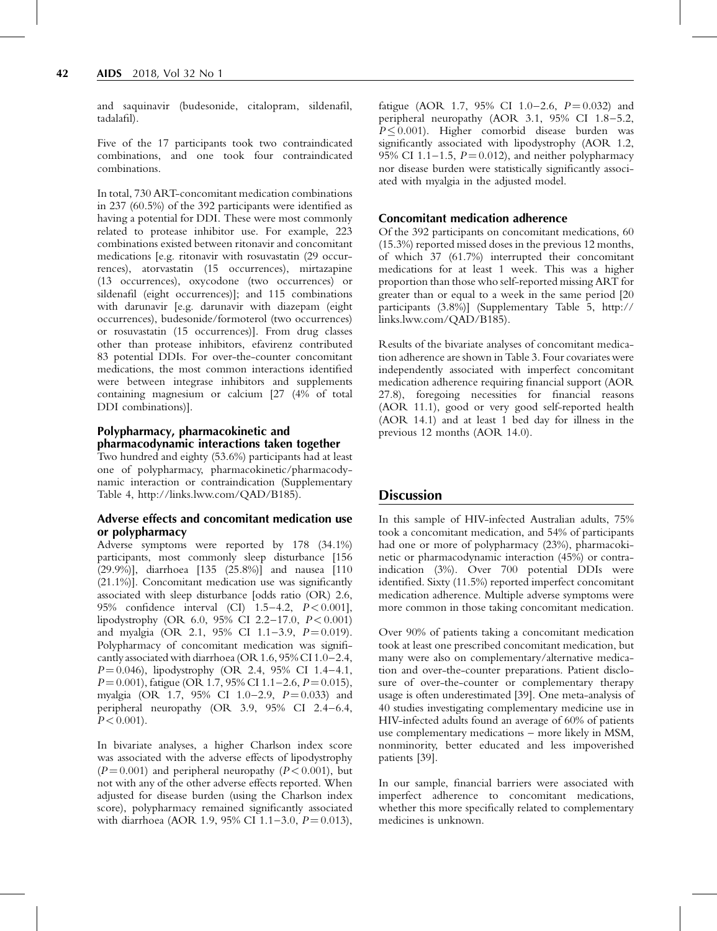and saquinavir (budesonide, citalopram, sildenafil, tadalafil).

Five of the 17 participants took two contraindicated combinations, and one took four contraindicated combinations.

In total, 730 ART-concomitant medication combinations in 237 (60.5%) of the 392 participants were identified as having a potential for DDI. These were most commonly related to protease inhibitor use. For example, 223 combinations existed between ritonavir and concomitant medications [e.g. ritonavir with rosuvastatin (29 occurrences), atorvastatin (15 occurrences), mirtazapine (13 occurrences), oxycodone (two occurrences) or sildenafil (eight occurrences)]; and 115 combinations with darunavir [e.g. darunavir with diazepam (eight occurrences), budesonide/formoterol (two occurrences) or rosuvastatin (15 occurrences)]. From drug classes other than protease inhibitors, efavirenz contributed 83 potential DDIs. For over-the-counter concomitant medications, the most common interactions identified were between integrase inhibitors and supplements containing magnesium or calcium [27 (4% of total DDI combinations)].

#### Polypharmacy, pharmacokinetic and pharmacodynamic interactions taken together

Two hundred and eighty (53.6%) participants had at least one of polypharmacy, pharmacokinetic/pharmacodynamic interaction or contraindication (Supplementary Table 4,<http://links.lww.com/QAD/B185>).

## Adverse effects and concomitant medication use or polypharmacy

Adverse symptoms were reported by 178 (34.1%) participants, most commonly sleep disturbance [156 (29.9%)], diarrhoea [135 (25.8%)] and nausea [110 (21.1%)]. Concomitant medication use was significantly associated with sleep disturbance [odds ratio (OR) 2.6, 95% confidence interval (CI) 1.5–4.2, P< 0.001], lipodystrophy (OR 6.0, 95% CI 2.2–17.0, P< 0.001) and myalgia (OR 2.1, 95% CI 1.1-3.9,  $P = 0.019$ ). Polypharmacy of concomitant medication was significantlyassociated with diarrhoea (OR 1.6, 95% CI 1.0–2.4,  $P = 0.046$ ), lipodystrophy (OR 2.4, 95% CI 1.4–4.1,  $P = 0.001$ , fatigue (OR 1.7, 95% CI 1.1–2.6,  $P = 0.015$ ), myalgia (OR 1.7, 95% CI 1.0-2.9,  $P=0.033$ ) and peripheral neuropathy (OR 3.9, 95% CI 2.4–6.4,  $P < 0.001$ ).

In bivariate analyses, a higher Charlson index score was associated with the adverse effects of lipodystrophy  $(P=0.001)$  and peripheral neuropathy  $(P< 0.001)$ , but not with any of the other adverse effects reported. When adjusted for disease burden (using the Charlson index score), polypharmacy remained significantly associated with diarrhoea (AOR 1.9, 95% CI 1.1-3.0,  $P = 0.013$ ), fatigue (AOR 1.7, 95% CI 1.0–2.6,  $P = 0.032$ ) and peripheral neuropathy (AOR 3.1, 95% CI 1.8–5.2,  $P \leq 0.001$ ). Higher comorbid disease burden was significantly associated with lipodystrophy (AOR 1.2, 95% CI 1.1–1.5,  $P = 0.012$ ), and neither polypharmacy nor disease burden were statistically significantly associated with myalgia in the adjusted model.

## Concomitant medication adherence

Of the 392 participants on concomitant medications, 60 (15.3%) reported missed doses in the previous 12 months, of which 37 (61.7%) interrupted their concomitant medications for at least 1 week. This was a higher proportion than those who self-reported missing ART for greater than or equal to a week in the same period [20 participants (3.8%)] (Supplementary Table 5, [http://](http://links.lww.com/QAD/B185) [links.lww.com/QAD/B185](http://links.lww.com/QAD/B185)).

Results of the bivariate analyses of concomitant medication adherence are shown in [Table 3.](#page-8-0) Four covariates were independently associated with imperfect concomitant medication adherence requiring financial support (AOR 27.8), foregoing necessities for financial reasons (AOR 11.1), good or very good self-reported health (AOR 14.1) and at least 1 bed day for illness in the previous 12 months (AOR 14.0).

# **Discussion**

In this sample of HIV-infected Australian adults, 75% took a concomitant medication, and 54% of participants had one or more of polypharmacy (23%), pharmacokinetic or pharmacodynamic interaction (45%) or contraindication (3%). Over 700 potential DDIs were identified. Sixty (11.5%) reported imperfect concomitant medication adherence. Multiple adverse symptoms were more common in those taking concomitant medication.

Over 90% of patients taking a concomitant medication took at least one prescribed concomitant medication, but many were also on complementary/alternative medication and over-the-counter preparations. Patient disclosure of over-the-counter or complementary therapy usage is often underestimated [\[39\]](#page-13-0). One meta-analysis of 40 studies investigating complementary medicine use in HIV-infected adults found an average of 60% of patients use complementary medications – more likely in MSM, nonminority, better educated and less impoverished patients [\[39\]](#page-13-0).

In our sample, financial barriers were associated with imperfect adherence to concomitant medications, whether this more specifically related to complementary medicines is unknown.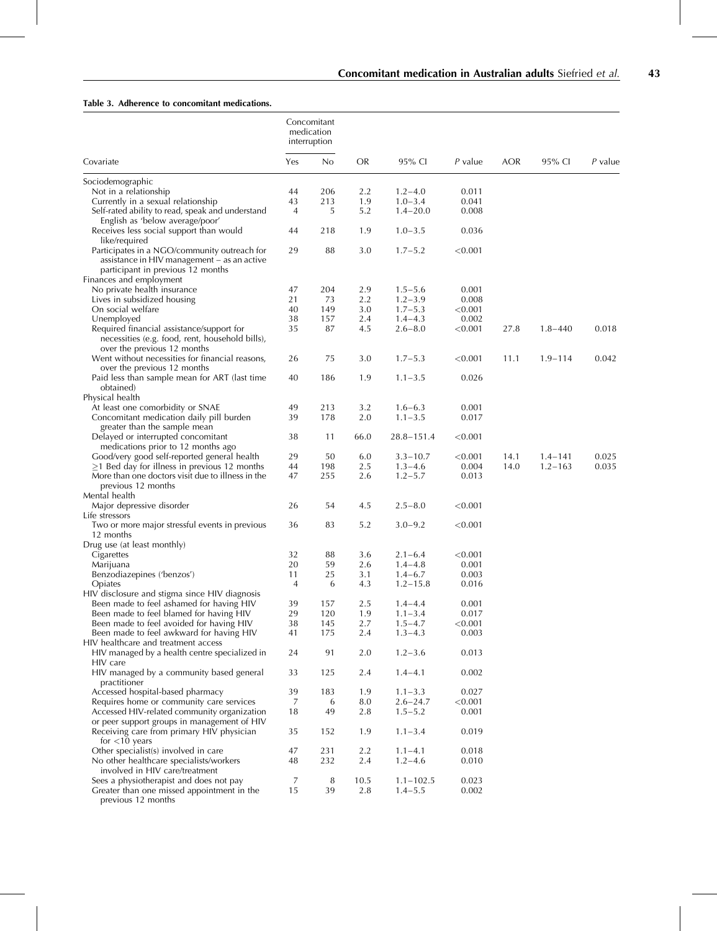#### <span id="page-8-0"></span>Table 3. Adherence to concomitant medications.

|                                                          | Concomitant<br>medication<br>interruption |     |           |                |         |      |             |         |
|----------------------------------------------------------|-------------------------------------------|-----|-----------|----------------|---------|------|-------------|---------|
| Covariate                                                | Yes                                       | No  | <b>OR</b> | 95% CI         | P value | AOR  | 95% CI      | P value |
| Sociodemographic                                         |                                           |     |           |                |         |      |             |         |
| Not in a relationship                                    | 44                                        | 206 | 2.2       | $1.2 - 4.0$    | 0.011   |      |             |         |
| Currently in a sexual relationship                       | 43                                        | 213 | 1.9       | $1.0 - 3.4$    | 0.041   |      |             |         |
| Self-rated ability to read, speak and understand         | 4                                         | 5   | 5.2       | $1.4 - 20.0$   | 0.008   |      |             |         |
| English as 'below average/poor'                          |                                           |     |           |                |         |      |             |         |
| Receives less social support than would<br>like/required | 44                                        | 218 | 1.9       | $1.0 - 3.5$    | 0.036   |      |             |         |
| Participates in a NGO/community outreach for             | 29                                        | 88  | 3.0       | $1.7 - 5.2$    | < 0.001 |      |             |         |
| assistance in HIV management - as an active              |                                           |     |           |                |         |      |             |         |
| participant in previous 12 months                        |                                           |     |           |                |         |      |             |         |
| Finances and employment                                  |                                           |     |           |                |         |      |             |         |
| No private health insurance                              | 47                                        | 204 | 2.9       | $1.5 - 5.6$    | 0.001   |      |             |         |
| Lives in subsidized housing                              | 21                                        | 73  | 2.2       | $1.2 - 3.9$    | 0.008   |      |             |         |
| On social welfare                                        | 40                                        | 149 | 3.0       | $1.7 - 5.3$    | < 0.001 |      |             |         |
| Unemployed                                               | 38                                        | 157 | 2.4       | $1.4 - 4.3$    | 0.002   |      |             |         |
| Required financial assistance/support for                | 35                                        | 87  | 4.5       | $2.6 - 8.0$    | < 0.001 | 27.8 | $1.8 - 440$ | 0.018   |
| necessities (e.g. food, rent, household bills),          |                                           |     |           |                |         |      |             |         |
| over the previous 12 months                              |                                           |     |           |                |         |      |             |         |
| Went without necessities for financial reasons,          | 26                                        | 75  | 3.0       | $1.7 - 5.3$    | < 0.001 | 11.1 | $1.9 - 114$ | 0.042   |
| over the previous 12 months                              |                                           |     |           |                |         |      |             |         |
| Paid less than sample mean for ART (last time            | 40                                        | 186 | 1.9       | $1.1 - 3.5$    | 0.026   |      |             |         |
| obtained)                                                |                                           |     |           |                |         |      |             |         |
| Physical health<br>At least one comorbidity or SNAE      | 49                                        | 213 | 3.2       | $1.6 - 6.3$    | 0.001   |      |             |         |
| Concomitant medication daily pill burden                 | 39                                        | 178 | 2.0       | $1.1 - 3.5$    | 0.017   |      |             |         |
| greater than the sample mean                             |                                           |     |           |                |         |      |             |         |
| Delayed or interrupted concomitant                       | 38                                        | 11  | 66.0      | $28.8 - 151.4$ | < 0.001 |      |             |         |
| medications prior to 12 months ago                       |                                           |     |           |                |         |      |             |         |
| Good/very good self-reported general health              | 29                                        | 50  | 6.0       | $3.3 - 10.7$   | < 0.001 | 14.1 | $1.4 - 141$ | 0.025   |
| $\geq$ 1 Bed day for illness in previous 12 months       | 44                                        | 198 | 2.5       | $1.3 - 4.6$    | 0.004   | 14.0 | $1.2 - 163$ | 0.035   |
| More than one doctors visit due to illness in the        | 47                                        | 255 | 2.6       | $1.2 - 5.7$    | 0.013   |      |             |         |
| previous 12 months                                       |                                           |     |           |                |         |      |             |         |
| Mental health                                            |                                           |     |           |                |         |      |             |         |
| Major depressive disorder                                | 26                                        | 54  | 4.5       | $2.5 - 8.0$    | < 0.001 |      |             |         |
| Life stressors                                           |                                           |     |           |                |         |      |             |         |
| Two or more major stressful events in previous           | 36                                        | 83  | 5.2       | $3.0 - 9.2$    | < 0.001 |      |             |         |
| 12 months<br>Drug use (at least monthly)                 |                                           |     |           |                |         |      |             |         |
| Cigarettes                                               | 32                                        | 88  | 3.6       | $2.1 - 6.4$    | < 0.001 |      |             |         |
| Marijuana                                                | 20                                        | 59  | 2.6       | $1.4 - 4.8$    | 0.001   |      |             |         |
| Benzodiazepines ('benzos')                               | 11                                        | 25  | 3.1       | $1.4 - 6.7$    | 0.003   |      |             |         |
| Opiates                                                  | 4                                         | 6   | 4.3       | $1.2 - 15.8$   | 0.016   |      |             |         |
| HIV disclosure and stigma since HIV diagnosis            |                                           |     |           |                |         |      |             |         |
| Been made to feel ashamed for having HIV                 | 39                                        | 157 | $2.5\,$   | $1.4 - 4.4$    | 0.001   |      |             |         |
| Been made to feel blamed for having HIV                  | 29                                        | 120 | 1.9       | $1.1 - 3.4$    | 0.017   |      |             |         |
| Been made to feel avoided for having HIV                 | 38                                        | 145 | 2.7       | $1.5 - 4.7$    | < 0.001 |      |             |         |
| Been made to feel awkward for having HIV                 | 41                                        | 175 | 2.4       | $1.3 - 4.3$    | 0.003   |      |             |         |
| HIV healthcare and treatment access                      |                                           |     |           |                |         |      |             |         |
| HIV managed by a health centre specialized in            | 24                                        | 91  | 2.0       | $1.2 - 3.6$    | 0.013   |      |             |         |
| HIV care                                                 |                                           |     |           |                |         |      |             |         |
| HIV managed by a community based general<br>practitioner | 33                                        | 125 | 2.4       | $1.4 - 4.1$    | 0.002   |      |             |         |
| Accessed hospital-based pharmacy                         | 39                                        | 183 | 1.9       | $1.1 - 3.3$    | 0.027   |      |             |         |
| Requires home or community care services                 | 7                                         | 6   | 8.0       | $2.6 - 24.7$   | < 0.001 |      |             |         |
| Accessed HIV-related community organization              | 18                                        | 49  | 2.8       | $1.5 - 5.2$    | 0.001   |      |             |         |
| or peer support groups in management of HIV              |                                           |     |           |                |         |      |             |         |
| Receiving care from primary HIV physician                | 35                                        | 152 | 1.9       | $1.1 - 3.4$    | 0.019   |      |             |         |
| for $<$ 10 years                                         |                                           |     |           |                |         |      |             |         |
| Other specialist(s) involved in care                     | 47                                        | 231 | 2.2       | $1.1 - 4.1$    | 0.018   |      |             |         |
| No other healthcare specialists/workers                  | 48                                        | 232 | 2.4       | $1.2 - 4.6$    | 0.010   |      |             |         |
| involved in HIV care/treatment                           |                                           |     |           |                |         |      |             |         |
| Sees a physiotherapist and does not pay                  | 7                                         | 8   | 10.5      | $1.1 - 102.5$  | 0.023   |      |             |         |
| Greater than one missed appointment in the               | 15                                        | 39  | 2.8       | $1.4 - 5.5$    | 0.002   |      |             |         |

previous 12 months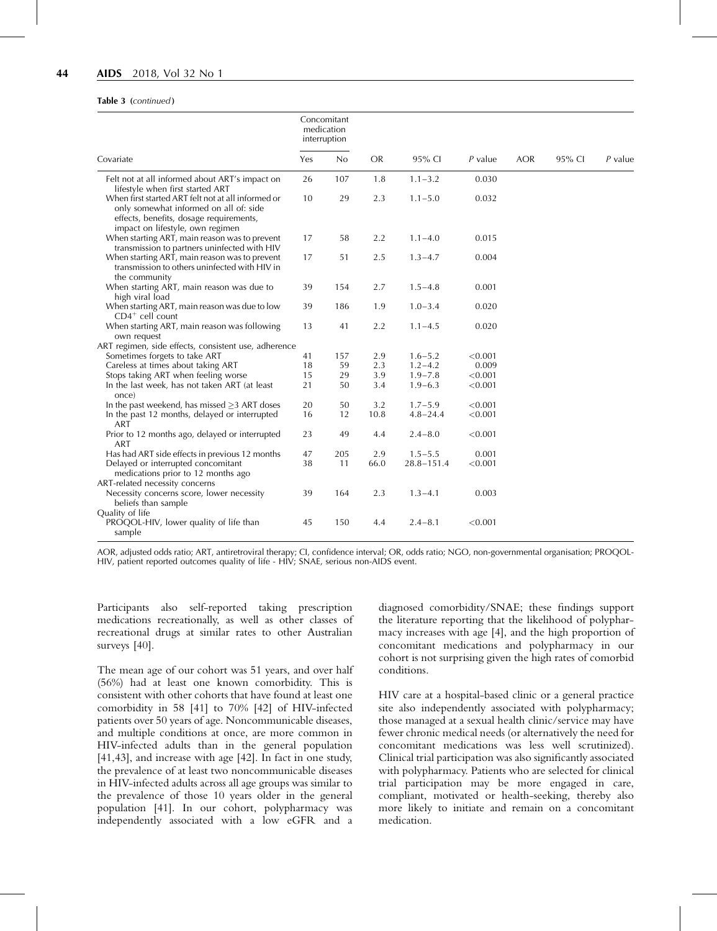#### Table 3 (continued)

| Covariate                                                                                                                                                                   |    | Concomitant<br>medication<br>interruption |           |                |           |            |        |           |
|-----------------------------------------------------------------------------------------------------------------------------------------------------------------------------|----|-------------------------------------------|-----------|----------------|-----------|------------|--------|-----------|
|                                                                                                                                                                             |    | No                                        | <b>OR</b> | 95% CI         | $P$ value | <b>AOR</b> | 95% CI | $P$ value |
| Felt not at all informed about ART's impact on<br>lifestyle when first started ART                                                                                          | 26 | 107                                       | 1.8       | $1.1 - 3.2$    | 0.030     |            |        |           |
| When first started ART felt not at all informed or<br>only somewhat informed on all of: side<br>effects, benefits, dosage requirements,<br>impact on lifestyle, own regimen | 10 | 29                                        | 2.3       | $1.1 - 5.0$    | 0.032     |            |        |           |
| When starting ART, main reason was to prevent<br>transmission to partners uninfected with HIV                                                                               | 17 | 58                                        | 2.2       | $1.1 - 4.0$    | 0.015     |            |        |           |
| When starting ART, main reason was to prevent<br>transmission to others uninfected with HIV in<br>the community                                                             | 17 | 51                                        | 2.5       | $1.3 - 4.7$    | 0.004     |            |        |           |
| When starting ART, main reason was due to<br>high viral load                                                                                                                | 39 | 154                                       | 2.7       | $1.5 - 4.8$    | 0.001     |            |        |           |
| When starting ART, main reason was due to low<br>$CD4^+$ cell count                                                                                                         | 39 | 186                                       | 1.9       | $1.0 - 3.4$    | 0.020     |            |        |           |
| When starting ART, main reason was following<br>own request                                                                                                                 | 13 | 41                                        | 2.2       | $1.1 - 4.5$    | 0.020     |            |        |           |
| ART regimen, side effects, consistent use, adherence                                                                                                                        |    |                                           |           |                |           |            |        |           |
| Sometimes forgets to take ART                                                                                                                                               | 41 | 157                                       | 2.9       | $1.6 - 5.2$    | < 0.001   |            |        |           |
| Careless at times about taking ART                                                                                                                                          | 18 | 59                                        | 2.3       | $1.2 - 4.2$    | 0.009     |            |        |           |
| Stops taking ART when feeling worse                                                                                                                                         | 15 | 29                                        | 3.9       | $1.9 - 7.8$    | < 0.001   |            |        |           |
| In the last week, has not taken ART (at least<br>once)                                                                                                                      | 21 | 50                                        | 3.4       | $1.9 - 6.3$    | < 0.001   |            |        |           |
| In the past weekend, has missed $\geq$ 3 ART doses                                                                                                                          | 20 | 50                                        | 3.2       | $1.7 - 5.9$    | < 0.001   |            |        |           |
| In the past 12 months, delayed or interrupted<br>ART                                                                                                                        | 16 | 12                                        | 10.8      | $4.8 - 24.4$   | < 0.001   |            |        |           |
| Prior to 12 months ago, delayed or interrupted<br><b>ART</b>                                                                                                                | 23 | 49                                        | 4.4       | $2.4 - 8.0$    | < 0.001   |            |        |           |
| Has had ART side effects in previous 12 months                                                                                                                              | 47 | 205                                       | 2.9       | $1.5 - 5.5$    | 0.001     |            |        |           |
| Delayed or interrupted concomitant<br>medications prior to 12 months ago                                                                                                    | 38 | 11                                        | 66.0      | $28.8 - 151.4$ | < 0.001   |            |        |           |
| ART-related necessity concerns                                                                                                                                              |    |                                           |           |                |           |            |        |           |
| Necessity concerns score, lower necessity<br>beliefs than sample                                                                                                            | 39 | 164                                       | 2.3       | $1.3 - 4.1$    | 0.003     |            |        |           |
| Quality of life<br>PROQOL-HIV, lower quality of life than<br>sample                                                                                                         | 45 | 150                                       | 4.4       | $2.4 - 8.1$    | < 0.001   |            |        |           |

AOR, adjusted odds ratio; ART, antiretroviral therapy; CI, confidence interval; OR, odds ratio; NGO, non-governmental organisation; PROQOL-HIV, patient reported outcomes quality of life - HIV; SNAE, serious non-AIDS event.

Participants also self-reported taking prescription medications recreationally, as well as other classes of recreational drugs at similar rates to other Australian surveys [\[40\]](#page-13-0).

The mean age of our cohort was 51 years, and over half (56%) had at least one known comorbidity. This is consistent with other cohorts that have found at least one comorbidity in 58 [\[41\]](#page-13-0) to 70% [\[42\]](#page-13-0) of HIV-infected patients over 50 years of age. Noncommunicable diseases, and multiple conditions at once, are more common in HIV-infected adults than in the general population [\[41,43\]](#page-13-0), and increase with age [\[42\].](#page-13-0) In fact in one study, the prevalence of at least two noncommunicable diseases in HIV-infected adults across all age groups was similar to the prevalence of those 10 years older in the general population [\[41\]](#page-13-0). In our cohort, polypharmacy was independently associated with a low eGFR and a diagnosed comorbidity/SNAE; these findings support the literature reporting that the likelihood of polypharmacy increases with age [\[4\]](#page-12-0), and the high proportion of concomitant medications and polypharmacy in our cohort is not surprising given the high rates of comorbid conditions.

HIV care at a hospital-based clinic or a general practice site also independently associated with polypharmacy; those managed at a sexual health clinic/service may have fewer chronic medical needs (or alternatively the need for concomitant medications was less well scrutinized). Clinical trial participation was also significantly associated with polypharmacy. Patients who are selected for clinical trial participation may be more engaged in care, compliant, motivated or health-seeking, thereby also more likely to initiate and remain on a concomitant medication.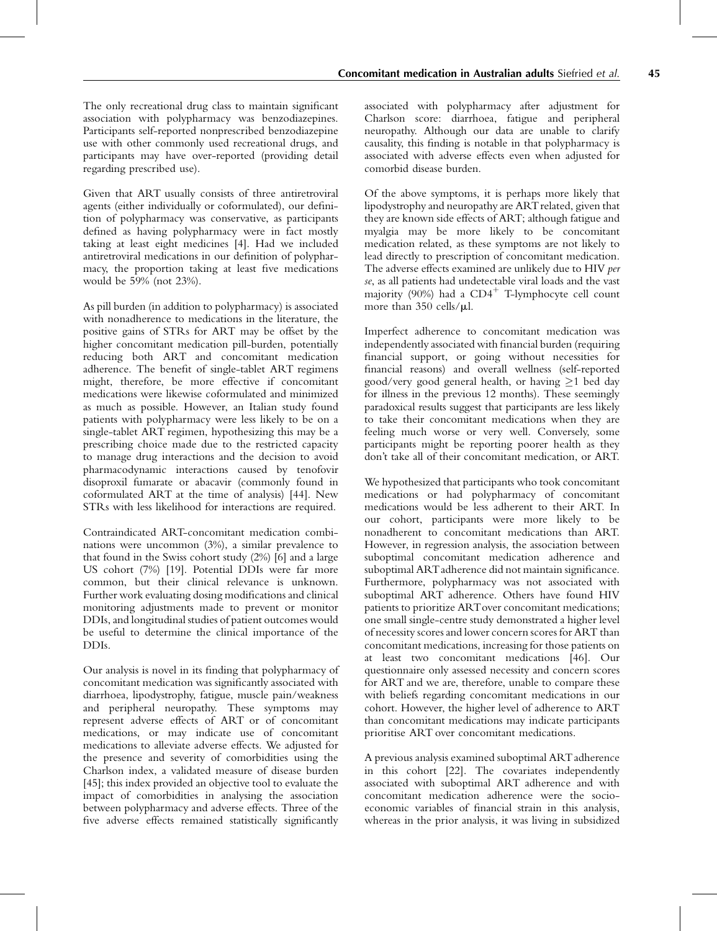The only recreational drug class to maintain significant association with polypharmacy was benzodiazepines. Participants self-reported nonprescribed benzodiazepine use with other commonly used recreational drugs, and participants may have over-reported (providing detail regarding prescribed use).

Given that ART usually consists of three antiretroviral agents (either individually or coformulated), our definition of polypharmacy was conservative, as participants defined as having polypharmacy were in fact mostly taking at least eight medicines [\[4\]](#page-12-0). Had we included antiretroviral medications in our definition of polypharmacy, the proportion taking at least five medications would be 59% (not 23%).

As pill burden (in addition to polypharmacy) is associated with nonadherence to medications in the literature, the positive gains of STRs for ART may be offset by the higher concomitant medication pill-burden, potentially reducing both ART and concomitant medication adherence. The benefit of single-tablet ART regimens might, therefore, be more effective if concomitant medications were likewise coformulated and minimized as much as possible. However, an Italian study found patients with polypharmacy were less likely to be on a single-tablet ART regimen, hypothesizing this may be a prescribing choice made due to the restricted capacity to manage drug interactions and the decision to avoid pharmacodynamic interactions caused by tenofovir disoproxil fumarate or abacavir (commonly found in coformulated ART at the time of analysis) [\[44\].](#page-13-0) New STRs with less likelihood for interactions are required.

Contraindicated ART-concomitant medication combinations were uncommon (3%), a similar prevalence to that found in the Swiss cohort study (2%) [\[6\]](#page-12-0) and a large US cohort (7%) [\[19\]](#page-12-0). Potential DDIs were far more common, but their clinical relevance is unknown. Further work evaluating dosing modifications and clinical monitoring adjustments made to prevent or monitor DDIs, and longitudinal studies of patient outcomes would be useful to determine the clinical importance of the DDIs.

Our analysis is novel in its finding that polypharmacy of concomitant medication was significantly associated with diarrhoea, lipodystrophy, fatigue, muscle pain/weakness and peripheral neuropathy. These symptoms may represent adverse effects of ART or of concomitant medications, or may indicate use of concomitant medications to alleviate adverse effects. We adjusted for the presence and severity of comorbidities using the Charlson index, a validated measure of disease burden [\[45\]](#page-13-0); this index provided an objective tool to evaluate the impact of comorbidities in analysing the association between polypharmacy and adverse effects. Three of the five adverse effects remained statistically significantly

associated with polypharmacy after adjustment for Charlson score: diarrhoea, fatigue and peripheral neuropathy. Although our data are unable to clarify causality, this finding is notable in that polypharmacy is associated with adverse effects even when adjusted for comorbid disease burden.

Of the above symptoms, it is perhaps more likely that lipodystrophy and neuropathy are ART related, given that they are known side effects of ART; although fatigue and myalgia may be more likely to be concomitant medication related, as these symptoms are not likely to lead directly to prescription of concomitant medication. The adverse effects examined are unlikely due to HIV per se, as all patients had undetectable viral loads and the vast majority (90%) had a  $CD4^+$  T-lymphocyte cell count more than  $350$  cells/ $\mu$ l.

Imperfect adherence to concomitant medication was independently associated with financial burden (requiring financial support, or going without necessities for financial reasons) and overall wellness (self-reported good/very good general health, or having  $\geq$ 1 bed day for illness in the previous 12 months). These seemingly paradoxical results suggest that participants are less likely to take their concomitant medications when they are feeling much worse or very well. Conversely, some participants might be reporting poorer health as they don't take all of their concomitant medication, or ART.

We hypothesized that participants who took concomitant medications or had polypharmacy of concomitant medications would be less adherent to their ART. In our cohort, participants were more likely to be nonadherent to concomitant medications than ART. However, in regression analysis, the association between suboptimal concomitant medication adherence and suboptimal ARTadherence did not maintain significance. Furthermore, polypharmacy was not associated with suboptimal ART adherence. Others have found HIV patients to prioritize ARTover concomitant medications; one small single-centre study demonstrated a higher level of necessity scores and lower concern scores for ART than concomitant medications, increasing for those patients on at least two concomitant medications [\[46\].](#page-13-0) Our questionnaire only assessed necessity and concern scores for ART and we are, therefore, unable to compare these with beliefs regarding concomitant medications in our cohort. However, the higher level of adherence to ART than concomitant medications may indicate participants prioritise ART over concomitant medications.

A previous analysis examined suboptimal ARTadherence in this cohort [\[22\]](#page-12-0). The covariates independently associated with suboptimal ART adherence and with concomitant medication adherence were the socioeconomic variables of financial strain in this analysis, whereas in the prior analysis, it was living in subsidized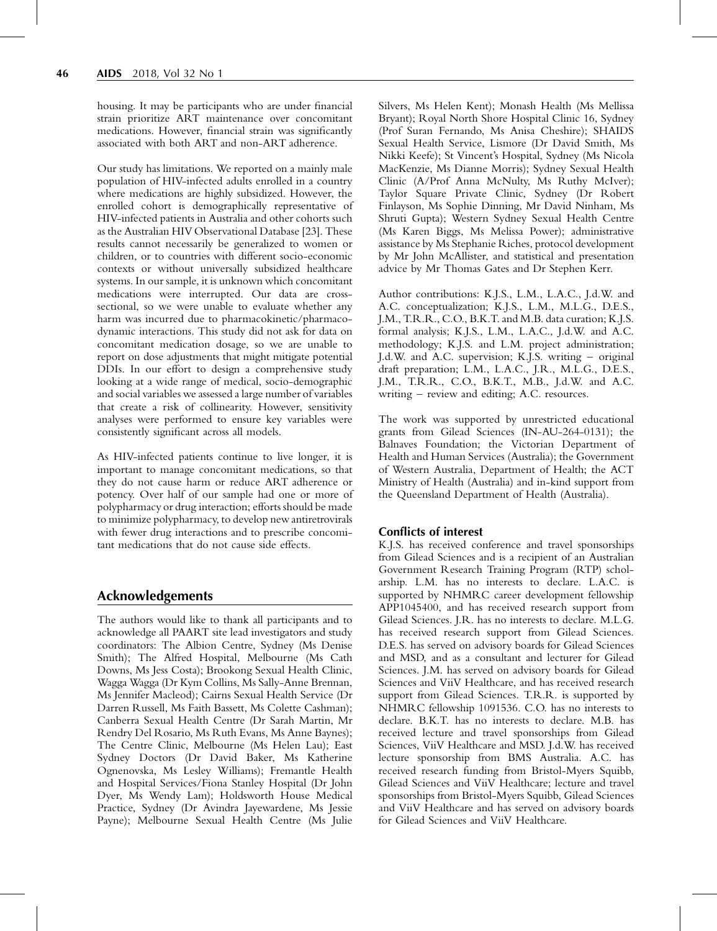housing. It may be participants who are under financial strain prioritize ART maintenance over concomitant medications. However, financial strain was significantly associated with both ART and non-ART adherence.

Our study has limitations. We reported on a mainly male population of HIV-infected adults enrolled in a country where medications are highly subsidized. However, the enrolled cohort is demographically representative of HIV-infected patients in Australia and other cohorts such as the Australian HIV Observational Database [\[23\]](#page-12-0). These results cannot necessarily be generalized to women or children, or to countries with different socio-economic contexts or without universally subsidized healthcare systems. In our sample, it is unknown which concomitant medications were interrupted. Our data are crosssectional, so we were unable to evaluate whether any harm was incurred due to pharmacokinetic/pharmacodynamic interactions. This study did not ask for data on concomitant medication dosage, so we are unable to report on dose adjustments that might mitigate potential DDIs. In our effort to design a comprehensive study looking at a wide range of medical, socio-demographic and social variables we assessed a large number of variables that create a risk of collinearity. However, sensitivity analyses were performed to ensure key variables were consistently significant across all models.

As HIV-infected patients continue to live longer, it is important to manage concomitant medications, so that they do not cause harm or reduce ART adherence or potency. Over half of our sample had one or more of polypharmacy or drug interaction; efforts should be made to minimize polypharmacy, to develop new antiretrovirals with fewer drug interactions and to prescribe concomitant medications that do not cause side effects.

## Acknowledgements

The authors would like to thank all participants and to acknowledge all PAART site lead investigators and study coordinators: The Albion Centre, Sydney (Ms Denise Smith); The Alfred Hospital, Melbourne (Ms Cath Downs, Ms Jess Costa); Brookong Sexual Health Clinic, Wagga Wagga (Dr Kym Collins, Ms Sally-Anne Brennan, Ms Jennifer Macleod); Cairns Sexual Health Service (Dr Darren Russell, Ms Faith Bassett, Ms Colette Cashman); Canberra Sexual Health Centre (Dr Sarah Martin, Mr Rendry Del Rosario, Ms Ruth Evans, Ms Anne Baynes); The Centre Clinic, Melbourne (Ms Helen Lau); East Sydney Doctors (Dr David Baker, Ms Katherine Ognenovska, Ms Lesley Williams); Fremantle Health and Hospital Services/Fiona Stanley Hospital (Dr John Dyer, Ms Wendy Lam); Holdsworth House Medical Practice, Sydney (Dr Avindra Jayewardene, Ms Jessie Payne); Melbourne Sexual Health Centre (Ms Julie

Silvers, Ms Helen Kent); Monash Health (Ms Mellissa Bryant); Royal North Shore Hospital Clinic 16, Sydney (Prof Suran Fernando, Ms Anisa Cheshire); SHAIDS Sexual Health Service, Lismore (Dr David Smith, Ms Nikki Keefe); St Vincent's Hospital, Sydney (Ms Nicola MacKenzie, Ms Dianne Morris); Sydney Sexual Health Clinic (A/Prof Anna McNulty, Ms Ruthy McIver); Taylor Square Private Clinic, Sydney (Dr Robert Finlayson, Ms Sophie Dinning, Mr David Ninham, Ms Shruti Gupta); Western Sydney Sexual Health Centre (Ms Karen Biggs, Ms Melissa Power); administrative assistance by Ms Stephanie Riches, protocol development by Mr John McAllister, and statistical and presentation advice by Mr Thomas Gates and Dr Stephen Kerr.

Author contributions: K.J.S., L.M., L.A.C., J.d.W. and A.C. conceptualization; K.J.S., L.M., M.L.G., D.E.S., J.M., T.R.R., C.O., B.K.T. and M.B. data curation; K.J.S. formal analysis; K.J.S., L.M., L.A.C., J.d.W. and A.C. methodology; K.J.S. and L.M. project administration; J.d.W. and A.C. supervision; K.J.S. writing – original draft preparation; L.M., L.A.C., J.R., M.L.G., D.E.S., J.M., T.R.R., C.O., B.K.T., M.B., J.d.W. and A.C. writing – review and editing; A.C. resources.

The work was supported by unrestricted educational grants from Gilead Sciences (IN-AU-264-0131); the Balnaves Foundation; the Victorian Department of Health and Human Services (Australia); the Government of Western Australia, Department of Health; the ACT Ministry of Health (Australia) and in-kind support from the Queensland Department of Health (Australia).

#### Conflicts of interest

K.J.S. has received conference and travel sponsorships from Gilead Sciences and is a recipient of an Australian Government Research Training Program (RTP) scholarship. L.M. has no interests to declare. L.A.C. is supported by NHMRC career development fellowship APP1045400, and has received research support from Gilead Sciences. J.R. has no interests to declare. M.L.G. has received research support from Gilead Sciences. D.E.S. has served on advisory boards for Gilead Sciences and MSD, and as a consultant and lecturer for Gilead Sciences. J.M. has served on advisory boards for Gilead Sciences and ViiV Healthcare, and has received research support from Gilead Sciences. T.R.R. is supported by NHMRC fellowship 1091536. C.O. has no interests to declare. B.K.T. has no interests to declare. M.B. has received lecture and travel sponsorships from Gilead Sciences, ViiV Healthcare and MSD. J.d.W. has received lecture sponsorship from BMS Australia. A.C. has received research funding from Bristol-Myers Squibb, Gilead Sciences and ViiV Healthcare; lecture and travel sponsorships from Bristol-Myers Squibb, Gilead Sciences and ViiV Healthcare and has served on advisory boards for Gilead Sciences and ViiV Healthcare.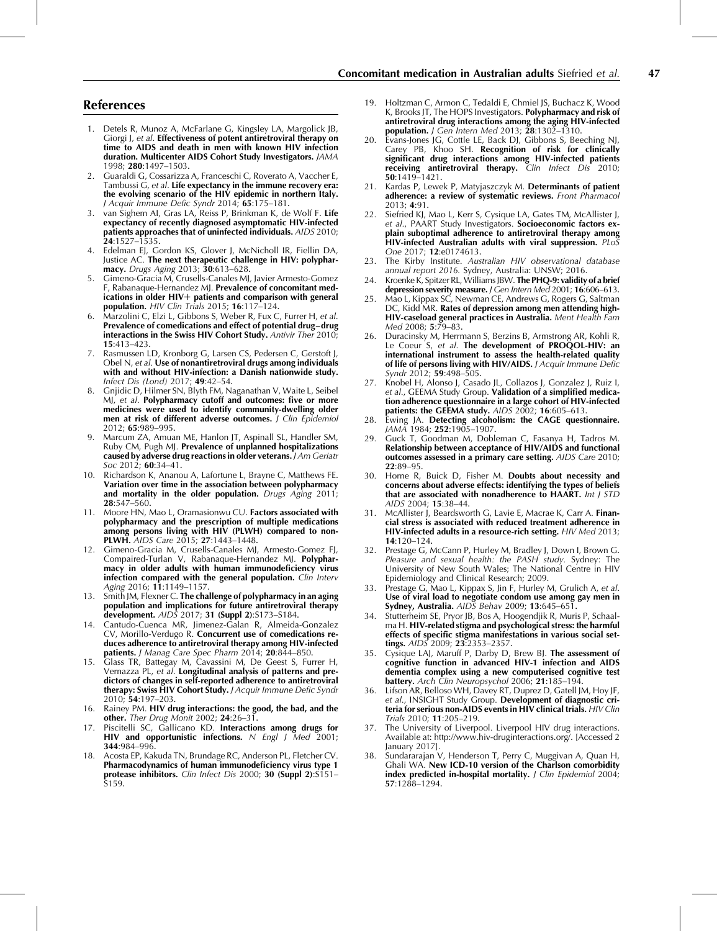## <span id="page-12-0"></span>References

- 1. Detels R, Munoz A, McFarlane G, Kingsley LA, Margolick JB, Giorgi J, et al. Effectiveness of potent antiretroviral therapy on time to AIDS and death in men with known HIV infection duration. Multicenter AIDS Cohort Study Investigators. JAMA 1998; 280:1497–1503.
- 2. Guaraldi G, Cossarizza A, Franceschi C, Roverato A, Vaccher E, Tambussi G, et al. Life expectancy in the immune recovery era: the evolving scenario of the HIV epidemic in northern Italy. J Acquir Immune Defic Syndr 2014; 65:175–181.
- van Sighem AI, Gras LA, Reiss P, Brinkman K, de Wolf F. Life expectancy of recently diagnosed asymptomatic HIV-infected patients approaches that of uninfected individuals. AIDS 2010; 24:1527–1535.
- 4. Edelman EJ, Gordon KS, Glover J, McNicholl IR, Fiellin DA, Justice AC. The next therapeutic challenge in HIV: polypharmacy. Drugs Aging 2013; 30:613–628.
- 5. Gimeno-Gracia M, Crusells-Canales MJ, Javier Armesto-Gomez F, Rabanaque-Hernandez MJ. Prevalence of concomitant medications in older  $HIV+$  patients and comparison with general population. HIV Clin Trials 2015; 16:117-124.
- Marzolini C, Elzi L, Gibbons S, Weber R, Fux C, Furrer H, et al. Prevalence of comedications and effect of potential drug–drug interactions in the Swiss HIV Cohort Study. Antivir Ther 2010; 15:413–423.
- Rasmussen LD, Kronborg G, Larsen CS, Pedersen C, Gerstoft J, Obel N, et al. Use of nonantiretroviral drugs among individuals with and without HIV-infection: a Danish nationwide study. Infect Dis (Lond) 2017; 49:42–54.
- 8. Gnjidic D, Hilmer SN, Blyth FM, Naganathan V, Waite L, Seibel ML, et al. Polypharmacy cutoff and outcomes: five or more medicines were used to identify community-dwelling older men at risk of different adverse outcomes. J Clin Epidemiol 2012; 65:989–995.
- 9. Marcum ZA, Amuan ME, Hanlon JT, Aspinall SL, Handler SM, Ruby CM, Pugh MJ. Prevalence of unplanned hospitalizations caused by adverse drug reactions in older veterans. J Am Geriatr Soc 2012; **60**:34-41.
- 10. Richardson K, Ananou A, Lafortune L, Brayne C, Matthews FE. Variation over time in the association between polypharmacy and mortality in the older population. Drugs Aging 2011; 28:547–560.
- 11. Moore HN, Mao L, Oramasionwu CU. Factors associated with polypharmacy and the prescription of multiple medications among persons living with HIV (PLWH) compared to non-PLWH. AIDS Care 2015; 27:1443-1448.
- 12. Gimeno-Gracia M, Crusells-Canales MJ, Armesto-Gomez FJ, Compaired-Turlan V, Rabanaque-Hernandez MJ. Polypharmacy in older adults with human immunodeficiency virus infection compared with the general population. Clin Interv Aging 2016; 11:1149–1157.
- 13. Smith JM, Flexner C. The challenge of polypharmacy in an aging population and implications for future antiretroviral therapy development. AIDS 2017; 31 (Suppl 2):S173–S184.
- 14. Cantudo-Cuenca MR, Jimenez-Galan R, Almeida-Gonzalez CV, Morillo-Verdugo R. Concurrent use of comedications reduces adherence to antiretroviral therapy among HIV-infected **patients.** J Manag Care Spec Pharm 2014; 20:844-850.
- 15. Glass TR, Battegay M, Cavassini M, De Geest S, Furrer H, Vernazza PL*, et al*. **Longitudinal analysis of patterns and pre**dictors of changes in self-reported adherence to antiretroviral therapy: Swiss HIV Cohort Study. J Acquir Immune Defic Syndr 2010; 54:197–203.
- 16. Rainey PM. HIV drug interactions: the good, the bad, and the other. Ther Drug Monit 2002; 24:26-31.
- 17. Piscitelli SC, Gallicano KD. Interactions among drugs for HIV and opportunistic infections.  $N$  Engl J Med 2001; 344:984–996.
- 18. Acosta EP, Kakuda TN, Brundage RC, Anderson PL, Fletcher CV. Pharmacodynamics of human immunodeficiency virus type 1 protease inhibitors. Clin Infect Dis 2000; 30 (Suppl 2):S151– S159.
- 19. Holtzman C, Armon C, Tedaldi E, Chmiel JS, Buchacz K, Wood K, Brooks JT, The HOPS Investigators. **Polypharmacy and risk of** antiretroviral drug interactions among the aging HIV-infected population. J Gen Intern Med 2013;  $\tilde{28}$ :1302-1310.
- 20. Evans-Jones JG, Cottle LE, Back DJ, Gibbons S, Beeching NJ, Carey PB, Khoo SH. Recognition of risk for clinically significant drug interactions among HIV-infected patients receiving antiretroviral therapy. Clin Infect Dis 2010; 50:1419–1421.
- 21. Kardas P, Lewek P, Matyjaszczyk M. Determinants of patient adherence: a review of systematic reviews. Front Pharmacol 2013; 4:91.
- 22. Siefried KL, Mao L, Kerr S, Cysique LA, Gates TM, McAllister L. et al., PAART Study Investigators. Socioeconomic factors explain suboptimal adherence to antiretroviral therapy among HIV-infected Australian adults with viral suppression. PLOS One 2017; 12:e0174613.
- 23. The Kirby Institute. Australian HIV observational database annual report 2016. Sydney, Australia: UNSW; 2016.
- 24. Kroenke K, Spitzer RL, Williams JBW. The PHQ-9: validity of a brief depression severity measure. J Gen Intern Med 2001; 16:606-613.
- 25. Mao L, Kippax SC, Newman CE, Andrews G, Rogers G, Saltman DC, Kidd MR. Rates of depression among men attending high-HIV-caseload general practices in Australia. Ment Health Fam Med 2008; 5:79–83.
- 26. Duracinsky M, Herrmann S, Berzins B, Armstrong AR, Kohli R, Le Coeur S, et al. The development of PROQOL-HIV: an international instrument to assess the health-related quality of life of persons living with HIV/AIDS. J Acquir Immune Defic Syndr 2012; 59:498–505.
- 27. Knobel H, Alonso J, Casado JL, Collazos J, Gonzalez J, Ruiz I, et al., GEEMA Study Group. Validation of a simplified medication adherence questionnaire in a large cohort of HIV-infected patients: the GEEMA study. AIDS 2002; 16:605-613.
- 28. Ewing JA. Detecting alcoholism: the CAGE questionnaire. JAMA 1984; 252:1905–1907.
- 29. Guck T, Goodman M, Dobleman C, Fasanya H, Tadros M. Relationship between acceptance of HIV/AIDS and functional outcomes assessed in a primary care setting. AIDS Care 2010; 22:89–95.
- 30. Horne R, Buick D, Fisher M. Doubts about necessity and concerns about adverse effects: identifying the types of beliefs that are associated with nonadherence to HAART. Int J STD AIDS 2004; 15:38–44.
- 31. McAllister J, Beardsworth G, Lavie E, Macrae K, Carr A. Financial stress is associated with reduced treatment adherence in HIV-infected adults in a resource-rich setting. HIV Med 2013; 14:120–124.
- 32. Prestage G, McCann P, Hurley M, Bradley J, Down I, Brown G. Pleasure and sexual health: the PASH study. Sydney: The University of New South Wales; The National Centre in HIV Epidemiology and Clinical Research; 2009.
- 33. Prestage G, Mao L, Kippax S, Jin F, Hurley M, Grulich A, et al. Use of viral load to negotiate condom use among gay men in Sydney, Australia. AIDS Behav 2009; 13:645-651.
- 34. Stutterheim SE, Pryor JB, Bos A, Hoogendjik R, Muris P, Schaalma H. HIV-related stigma and psychological stress: the harmful effects of specific stigma manifestations in various social settings. AIDS 2009; 23:2353–2357.
- 35. Cysique LAJ, Maruff P, Darby D, Brew BJ. The assessment of cognitive function in advanced HIV-1 infection and AIDS dementia complex using a new computerised cognitive test battery. Arch Clin Neuropsychol 2006; 21:185-194.
- 36. Lifson AR, Belloso WH, Davey RT, Duprez D, Gatell JM, Hoy JF, et al., INSIGHT Study Group. Development of diagnostic criteria for serious non-AIDS events in HIV clinical trials. HIV Clin Trials 2010; 11:205–219.
- 37. The University of Liverpool. Liverpool HIV drug interactions. Available at:<http://www.hiv-druginteractions.org/>. [Accessed 2 January 2017].
- 38. Sundararajan V, Henderson T, Perry C, Muggivan A, Quan H, Ghali WA. New ICD-10 version of the Charlson comorbidity index predicted in-hospital mortality.  $/$  Clin Epidemiol 2004; 57:1288–1294.